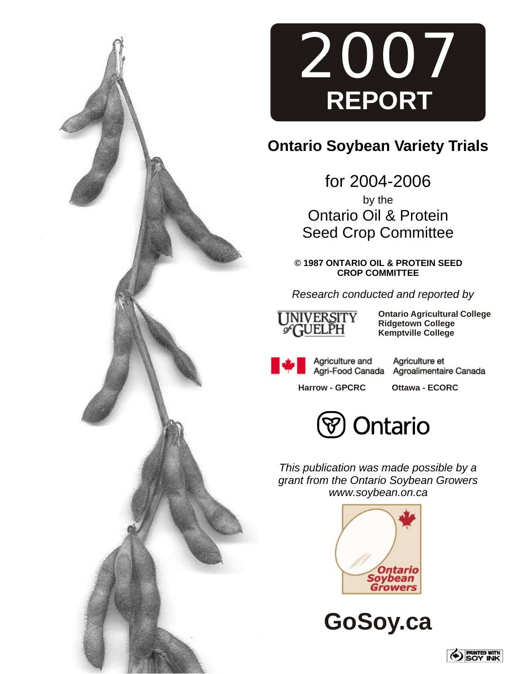



# **Ontario Soybean Variety Trials**

for 2004-2006 by the Ontario Oil & Protein Seed Crop Committee

**© 1987 ONTARIO OIL & PROTEIN SEED CROP COMMITTEE**

*Research conducted and reported by*



**Ontario Agricultural College Ridgetown College Kemptville College**

Agriculture and Agri-Food Canada

Agriculture et Agroalimentaire Canada

**Harrow - GPCRC Ottawa - ECORC**



*This publication was made possible by a grant from the Ontario Soybean Growers www.soybean.on.ca*



**GoSoy.ca**

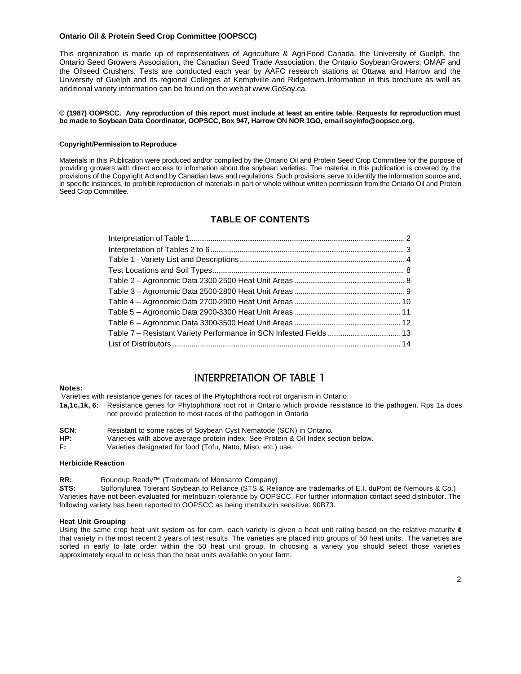### **Ontario Oil & Protein Seed Crop Committee (OOPSCC)**

This organization is made up of representatives of Agriculture & Agri-Food Canada, the University of Guelph, the Ontario Seed Growers Association, the Canadian Seed Trade Association, the Ontario Soybean Growers, OMAF and the Oilseed Crushers. Tests are conducted each year by AAFC research stations at Ottawa and Harrow and the University of Guelph and its regional Colleges at Kemptville and Ridgetown. Information in this brochure as well as additional variety information can be found on the web at www.GoSoy.ca.

### **© (1987) OOPSCC. Any reproduction of this report must include at least an entire table. Requests for reproduction must be made to Soybean Data Coordinator, OOPSCC, Box 947, Harrow ON NOR 1GO, email soyinfo@oopscc.org.**

### **Copyright/Permission to Reproduce**

Materials in this Publication were produced and/or compiled by the Ontario Oil and Protein Seed Crop Committee for the purpose of providing growers with direct access to information about the soybean varieties. The material in this publication is covered by the provisions of the Copyright Act and by Canadian laws and regulations. Such provisions serve to identify the information source and, in specific instances, to prohibit reproduction of materials in part or whole without written permission from the Ontario Oil and Protein Seed Crop Committee.

### **TABLE OF CONTENTS**

## INTERPRETATION OF TABLE 1

### **Notes:**

Varieties with resistance genes for races of the Phytophthora root rot organism in Ontario:

- **1a,1c,1k, 6:** Resistance genes for Phytophthora root rot in Ontario which provide resistance to the pathogen. Rps 1a does not provide protection to most races of the pathogen in Ontario
- **SCN:** Resistant to some races of Soybean Cyst Nematode (SCN) in Ontario. **HP:** Varieties with above average protein index. See Protein & Oil Index section below. **F:** Varieties designated for food (Tofu, Natto, Miso, etc.) use.

### **Herbicide Reaction**

**RR:** Roundup Ready™ (Trademark of Monsanto Company)

**STS:** Sulfonylurea Tolerant Soybean to Reliance (STS & Reliance are trademarks of E.I. duPont de Nemours & Co.) Varieties have not been evaluated for metribuzin tolerance by OOPSCC. For further information contact seed distributor. The following variety has been reported to OOPSCC as being metribuzin sensitive: 90B73.

### **Heat Unit Grouping**

Using the same crop heat unit system as for corn, each variety is given a heat unit rating based on the relative maturity  $\phi$ that variety in the most recent 2 years of test results. The varieties are placed into groups of 50 heat units. The varieties are sorted in early to late order within the 50 heat unit group. In choosing a variety you should select those varieties approximately equal to or less than the heat units available on your farm.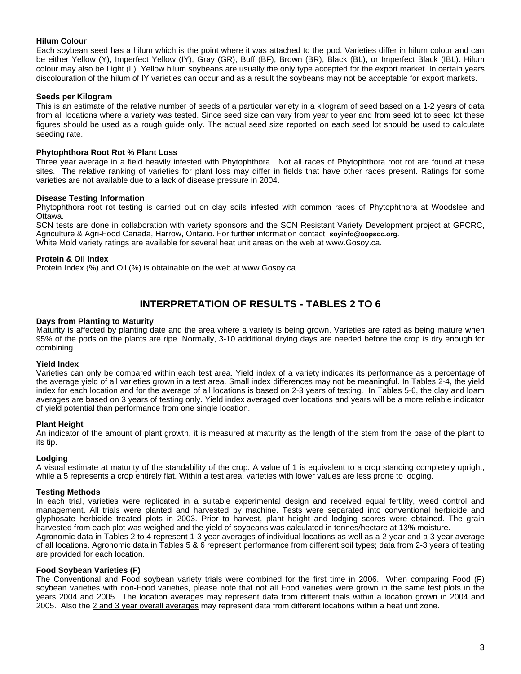### **Hilum Colour**

Each soybean seed has a hilum which is the point where it was attached to the pod. Varieties differ in hilum colour and can be either Yellow (Y), Imperfect Yellow (IY), Gray (GR), Buff (BF), Brown (BR), Black (BL), or Imperfect Black (IBL). Hilum colour may also be Light (L). Yellow hilum soybeans are usually the only type accepted for the export market. In certain years discolouration of the hilum of IY varieties can occur and as a result the soybeans may not be acceptable for export markets.

### **Seeds per Kilogram**

This is an estimate of the relative number of seeds of a particular variety in a kilogram of seed based on a 1-2 years of data from all locations where a variety was tested. Since seed size can vary from year to year and from seed lot to seed lot these figures should be used as a rough guide only. The actual seed size reported on each seed lot should be used to calculate seeding rate.

### **Phytophthora Root Rot % Plant Loss**

Three year average in a field heavily infested with Phytophthora. Not all races of Phytophthora root rot are found at these sites. The relative ranking of varieties for plant loss may differ in fields that have other races present. Ratings for some varieties are not available due to a lack of disease pressure in 2004.

### **Disease Testing Information**

Phytophthora root rot testing is carried out on clay soils infested with common races of Phytophthora at Woodslee and Ottawa.

SCN tests are done in collaboration with variety sponsors and the SCN Resistant Variety Development project at GPCRC, Agriculture & Agri-Food Canada, Harrow, Ontario. For further information contact **soyinfo@oopscc.org**. White Mold variety ratings are available for several heat unit areas on the web at www.Gosoy.ca.

### **Protein & Oil Index**

Protein Index (%) and Oil (%) is obtainable on the web at www.Gosoy.ca.

## **INTERPRETATION OF RESULTS - TABLES 2 TO 6**

### **Days from Planting to Maturity**

Maturity is affected by planting date and the area where a variety is being grown. Varieties are rated as being mature when 95% of the pods on the plants are ripe. Normally, 3-10 additional drying days are needed before the crop is dry enough for combining.

### **Yield Index**

Varieties can only be compared within each test area. Yield index of a variety indicates its performance as a percentage of the average yield of all varieties grown in a test area. Small index differences may not be meaningful. In Tables 2-4, the yield index for each location and for the average of all locations is based on 2-3 years of testing. In Tables 5-6, the clay and loam averages are based on 3 years of testing only. Yield index averaged over locations and years will be a more reliable indicator of yield potential than performance from one single location.

### **Plant Height**

An indicator of the amount of plant growth, it is measured at maturity as the length of the stem from the base of the plant to its tip.

### **Lodging**

A visual estimate at maturity of the standability of the crop. A value of 1 is equivalent to a crop standing completely upright, while a 5 represents a crop entirely flat. Within a test area, varieties with lower values are less prone to lodging.

### **Testing Methods**

In each trial, varieties were replicated in a suitable experimental design and received equal fertility, weed control and management. All trials were planted and harvested by machine. Tests were separated into conventional herbicide and glyphosate herbicide treated plots in 2003. Prior to harvest, plant height and lodging scores were obtained. The grain harvested from each plot was weighed and the yield of soybeans was calculated in tonnes/hectare at 13% moisture.

Agronomic data in Tables 2 to 4 represent 1-3 year averages of individual locations as well as a 2-year and a 3-year average of all locations. Agronomic data in Tables 5 & 6 represent performance from different soil types; data from 2-3 years of testing are provided for each location.

### **Food Soybean Varieties (F)**

The Conventional and Food soybean variety trials were combined for the first time in 2006. When comparing Food (F) soybean varieties with non-Food varieties, please note that not all Food varieties were grown in the same test plots in the years 2004 and 2005. The location averages may represent data from different trials within a location grown in 2004 and 2005. Also the 2 and 3 year overall averages may represent data from different locations within a heat unit zone.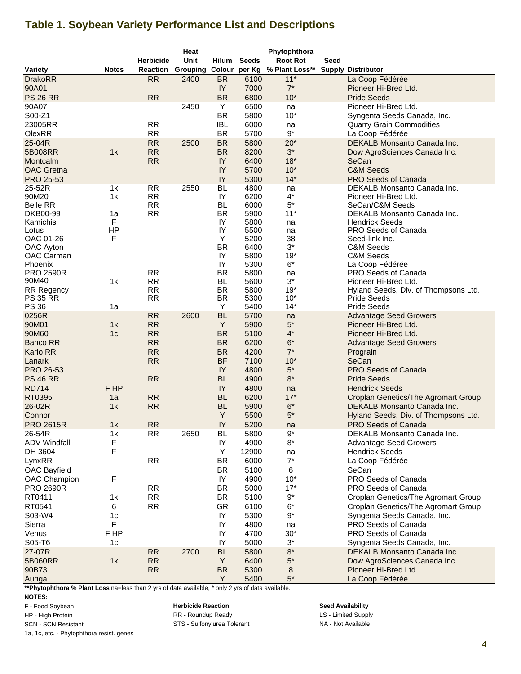# **Table 1. Soybean Variety Performance List and Descriptions**

|                           |                |                  | Heat                   |                 |              | Phytophthora    |      |                                        |
|---------------------------|----------------|------------------|------------------------|-----------------|--------------|-----------------|------|----------------------------------------|
|                           |                | <b>Herbicide</b> | <b>Unit</b>            | Hilum           | <b>Seeds</b> | <b>Root Rot</b> | Seed |                                        |
| Variety                   | <b>Notes</b>   | <b>Reaction</b>  | Grouping Colour per Kg |                 |              | % Plant Loss**  |      | <b>Supply Distributor</b>              |
| <b>DrakoRR</b>            |                | <b>RR</b>        | 2400                   | <b>BR</b>       | 6100         | $11*$           |      | La Coop Fédérée                        |
| 90A01                     |                |                  |                        | IY              | 7000         | $7^*$           |      | Pioneer Hi-Bred Ltd.                   |
| <b>PS 26 RR</b>           |                | <b>RR</b>        |                        | <b>BR</b>       | 6800         | $10*$           |      | <b>Pride Seeds</b>                     |
| 90A07                     |                |                  | 2450                   | Y               | 6500         | na              |      | Pioneer Hi-Bred Ltd.                   |
| S00-Z1                    |                |                  |                        | <b>BR</b>       | 5800         | $10*$           |      | Syngenta Seeds Canada, Inc.            |
| 23005RR                   |                | <b>RR</b>        |                        | <b>IBL</b>      | 6000         | na              |      | <b>Quarry Grain Commodities</b>        |
| OlexRR                    |                | <b>RR</b>        |                        | <b>BR</b>       | 5700         | $9^{\ast}$      |      | La Coop Fédérée                        |
| 25-04R                    |                | <b>RR</b>        | 2500                   | <b>BR</b>       | 5800         | $20*$           |      | DEKALB Monsanto Canada Inc.            |
| 5B008RR                   | 1k             | <b>RR</b>        |                        | <b>BR</b>       | 8200         | $3^*$           |      | Dow AgroSciences Canada Inc.           |
| Montcalm                  |                | <b>RR</b>        |                        | IY              | 6400         | $18*$           |      | SeCan                                  |
| <b>OAC</b> Gretna         |                |                  |                        | IY              | 5700         | $10*$           |      | <b>C&amp;M Seeds</b>                   |
| PRO 25-53                 |                |                  |                        | IY              | 5300         | $14*$           |      | PRO Seeds of Canada                    |
| 25-52R                    | 1 <sub>k</sub> | <b>RR</b>        | 2550                   | <b>BL</b>       | 4800         | na              |      | DEKALB Monsanto Canada Inc.            |
| 90M20                     | 1k             | <b>RR</b>        |                        | IY              | 6200         | 4*              |      | Pioneer Hi-Bred Ltd.                   |
| <b>Belle RR</b>           |                | <b>RR</b>        |                        | <b>BL</b>       | 6000         | $5^*$           |      | SeCan/C&M Seeds                        |
| DKB00-99                  | 1a             | <b>RR</b>        |                        | <b>BR</b>       | 5900         | $11*$           |      | DEKALB Monsanto Canada Inc.            |
| Kamichis                  | F              |                  |                        | IY              | 5800         | na              |      | <b>Hendrick Seeds</b>                  |
| Lotus                     | HP             |                  |                        | IY              | 5500         | na              |      | PRO Seeds of Canada                    |
| OAC 01-26                 | F              |                  |                        | Y               | 5200         | 38              |      | Seed-link Inc.                         |
| OAC Ayton                 |                |                  |                        | <b>BR</b>       | 6400         | $3^*$           |      | C&M Seeds                              |
| OAC Carman                |                |                  |                        | IY              | 5800         | $19*$           |      | C&M Seeds                              |
| Phoenix                   |                | <b>RR</b>        |                        | IY<br><b>BR</b> | 5300         | $6*$            |      | La Coop Fédérée<br>PRO Seeds of Canada |
| <b>PRO 2590R</b><br>90M40 | 1k             | RR               |                        | BL.             | 5800<br>5600 | na<br>$3^*$     |      | Pioneer Hi-Bred Ltd.                   |
| <b>RR Regency</b>         |                | <b>RR</b>        |                        | <b>BR</b>       | 5800         | $19*$           |      | Hyland Seeds, Div. of Thompsons Ltd.   |
| <b>PS 35 RR</b>           |                | <b>RR</b>        |                        | <b>BR</b>       | 5300         | $10*$           |      | <b>Pride Seeds</b>                     |
| <b>PS 36</b>              | 1a             |                  |                        | Υ               | 5400         | $14*$           |      | <b>Pride Seeds</b>                     |
| 0256R                     |                | <b>RR</b>        | 2600                   | <b>BL</b>       | 5700         | na              |      | <b>Advantage Seed Growers</b>          |
| 90M01                     | 1k             | <b>RR</b>        |                        | Y               | 5900         | $5^{\ast}$      |      | Pioneer Hi-Bred Ltd.                   |
| 90M60                     | 1 <sub>c</sub> | <b>RR</b>        |                        | <b>BR</b>       | 5100         | $4^*$           |      | Pioneer Hi-Bred Ltd.                   |
| <b>Banco RR</b>           |                | <b>RR</b>        |                        | <b>BR</b>       | 6200         | $6*$            |      | <b>Advantage Seed Growers</b>          |
| Karlo RR                  |                | <b>RR</b>        |                        | <b>BR</b>       | 4200         | $7^*$           |      | Prograin                               |
| Lanark                    |                | <b>RR</b>        |                        | <b>BF</b>       | 7100         | $10*$           |      | SeCan                                  |
| PRO 26-53                 |                |                  |                        | IY              | 4800         | $5^*$           |      | PRO Seeds of Canada                    |
| <b>PS 46 RR</b>           |                | <b>RR</b>        |                        | <b>BL</b>       | 4900         | $8*$            |      | <b>Pride Seeds</b>                     |
| <b>RD714</b>              | F HP           |                  |                        | IY              | 4800         | na              |      | <b>Hendrick Seeds</b>                  |
| RT0395                    | 1a             | <b>RR</b>        |                        | <b>BL</b>       | 6200         | $17*$           |      | Croplan Genetics/The Agromart Group    |
| 26-02R                    | 1k             | <b>RR</b>        |                        | <b>BL</b>       | 5900         | $6*$            |      | DEKALB Monsanto Canada Inc.            |
| Connor                    |                |                  |                        | Υ               | 5500         | $5^*$           |      | Hyland Seeds, Div. of Thompsons Ltd.   |
| <b>PRO 2615R</b>          | 1 <sub>k</sub> | <b>RR</b>        |                        | IY              | 5200         | na              |      | PRO Seeds of Canada                    |
| 26-54R                    | 1k             | RR               | 2650                   | BL.             | 5800         | $9^{\star}$     |      | DEKALB Monsanto Canada Inc.            |
| <b>ADV Windfall</b>       | F              |                  |                        | IY              | 4900         | $8*$            |      | <b>Advantage Seed Growers</b>          |
| DH 3604                   | F              |                  |                        | Υ               | 12900        | na              |      | <b>Hendrick Seeds</b>                  |
| LynxRR                    |                | <b>RR</b>        |                        | <b>BR</b>       | 6000         | $7^*$           |      | La Coop Fédérée                        |
| OAC Bayfield              |                |                  |                        | <b>BR</b>       | 5100         | 6               |      | SeCan                                  |
| <b>OAC Champion</b>       | F              |                  |                        | IY              | 4900         | $10*$           |      | PRO Seeds of Canada                    |
| <b>PRO 2690R</b>          |                | <b>RR</b>        |                        | <b>BR</b>       | 5000         | $17*$           |      | PRO Seeds of Canada                    |
|                           |                | RR               |                        | <b>BR</b>       | 5100         | $9^{\star}$     |      | Croplan Genetics/The Agromart Group    |
| RT0411                    | 1k             |                  |                        |                 |              |                 |      |                                        |
| RT0541                    | 6              | RR               |                        | <b>GR</b>       | 6100         | $6*$            |      | Croplan Genetics/The Agromart Group    |
| S03-W4                    | 1 <sub>c</sub> |                  |                        | IY              | 5300         | $9^{\star}$     |      | Syngenta Seeds Canada, Inc.            |
| Sierra                    | F              |                  |                        | IY              | 4800         | na              |      | PRO Seeds of Canada                    |
| Venus                     | F HP           |                  |                        | IY              | 4700         | $30*$           |      | PRO Seeds of Canada                    |
| S05-T6                    | 1c             |                  |                        | IY              | 5000         | $3^{\star}$     |      | Syngenta Seeds Canada, Inc.            |
| 27-07R                    |                | <b>RR</b>        | 2700                   | <b>BL</b>       | 5800         | $8^{\star}$     |      | DEKALB Monsanto Canada Inc.            |
| 5B060RR                   | 1k             | RR               |                        | Y               | 6400         | $5^*$           |      | Dow AgroSciences Canada Inc.           |
| 90B73                     |                | <b>RR</b>        |                        | <b>BR</b>       | 5300         | 8               |      | Pioneer Hi-Bred Ltd.                   |
| Auriga                    |                |                  |                        | Y               | 5400         | $5^*$           |      | La Coop Fédérée                        |

**\*\*Phytophthora % Plant Loss** na=less than 2 yrs of data available, \* only 2 yrs of data available.

### **NOTES:**

F - Food Soybean

HP - High Protein

SCN - SCN Resistant

1a, 1c, etc. - Phytophthora resist. genes

**Herbicide Reaction Seed Availability** RR - Roundup Ready **LS** - Limited Supply STS - Sulfonylurea Tolerant NA - Not Available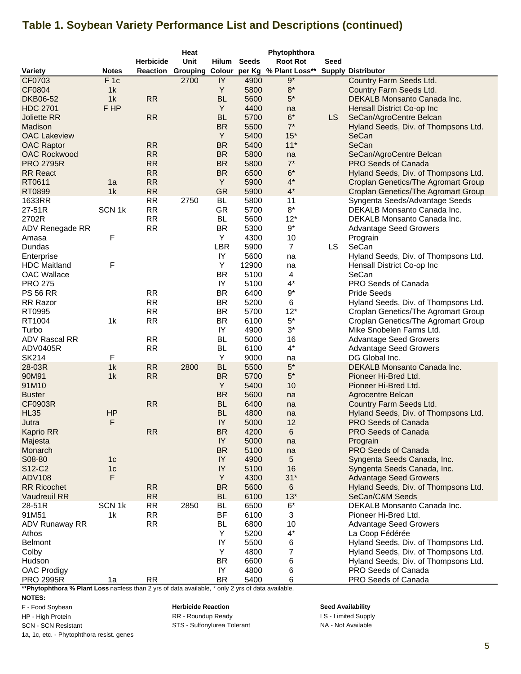# **Table 1. Soybean Variety Performance List and Descriptions (continued)**

|                                 |                   |                  | Heat |           |              | Phytophthora                          |      |                                            |
|---------------------------------|-------------------|------------------|------|-----------|--------------|---------------------------------------|------|--------------------------------------------|
|                                 |                   | <b>Herbicide</b> | Unit | Hilum     | <b>Seeds</b> | <b>Root Rot</b>                       | Seed |                                            |
| Variety                         | <b>Notes</b>      | Reaction         |      |           |              | Grouping Colour per Kg % Plant Loss** |      | <b>Supply Distributor</b>                  |
| CF0703                          | F <sub>1c</sub>   |                  | 2700 | IY        | 4900         | $9*$                                  |      | Country Farm Seeds Ltd.                    |
| CF0804                          | 1 <sub>k</sub>    |                  |      | Υ         | 5800         | $8*$                                  |      | <b>Country Farm Seeds Ltd.</b>             |
| <b>DKB06-52</b>                 | 1k                | <b>RR</b>        |      | <b>BL</b> | 5600         | $5^*$                                 |      | DEKALB Monsanto Canada Inc.                |
| <b>HDC 2701</b>                 | F HP              |                  |      | Y         | 4400         | na                                    |      | Hensall District Co-op Inc                 |
| <b>Joliette RR</b>              |                   | <b>RR</b>        |      | <b>BL</b> | 5700         | $6*$                                  | LS.  | SeCan/AgroCentre Belcan                    |
| Madison                         |                   |                  |      | <b>BR</b> | 5500         | $7^*$                                 |      | Hyland Seeds, Div. of Thompsons Ltd.       |
| <b>OAC Lakeview</b>             |                   |                  |      | Y         | 5400         | $15*$                                 |      | SeCan                                      |
| <b>OAC Raptor</b>               |                   | <b>RR</b>        |      | <b>BR</b> | 5400         | $11*$                                 |      | SeCan                                      |
| <b>OAC Rockwood</b>             |                   | <b>RR</b>        |      | <b>BR</b> | 5800         | na                                    |      | SeCan/AgroCentre Belcan                    |
| <b>PRO 2795R</b>                |                   | <b>RR</b>        |      | <b>BR</b> | 5800         | $7^\star$                             |      | <b>PRO Seeds of Canada</b>                 |
| <b>RR</b> React                 |                   | <b>RR</b>        |      | <b>BR</b> | 6500         | $6*$                                  |      | Hyland Seeds, Div. of Thompsons Ltd.       |
| RT0611                          | 1a                | <b>RR</b>        |      | Y         | 5900         | $4^*$                                 |      | <b>Croplan Genetics/The Agromart Group</b> |
| RT0899                          | 1k                | <b>RR</b>        |      | <b>GR</b> | 5900         | $4^*$                                 |      | <b>Croplan Genetics/The Agromart Group</b> |
| 1633RR                          |                   | RR               | 2750 | <b>BL</b> | 5800         | 11                                    |      | Syngenta Seeds/Advantage Seeds             |
| 27-51R                          | SCN <sub>1k</sub> | <b>RR</b>        |      | GR        | 5700         | $8^{\star}$                           |      | DEKALB Monsanto Canada Inc.                |
| 2702R                           |                   | <b>RR</b>        |      | <b>BL</b> | 5600         | $12*$                                 |      | DEKALB Monsanto Canada Inc.                |
| ADV Renegade RR                 |                   | <b>RR</b>        |      | <b>BR</b> | 5300         | $9^{\star}$                           |      | <b>Advantage Seed Growers</b>              |
| Amasa                           | F                 |                  |      | Y         | 4300         | 10                                    |      | Prograin                                   |
| Dundas                          |                   |                  |      | LBR       | 5900         | $\overline{7}$                        | LS.  | SeCan                                      |
| Enterprise                      |                   |                  |      | IY        | 5600         | na                                    |      | Hyland Seeds, Div. of Thompsons Ltd.       |
| <b>HDC Maitland</b>             | F                 |                  |      | Υ         | 12900        | na                                    |      | Hensall District Co-op Inc                 |
| <b>OAC Wallace</b>              |                   |                  |      | <b>BR</b> | 5100         | 4                                     |      | SeCan                                      |
| <b>PRO 275</b>                  |                   |                  |      | IY        | 5100         | $4^*$                                 |      | PRO Seeds of Canada                        |
| <b>PS 56 RR</b>                 |                   | <b>RR</b>        |      | <b>BR</b> | 6400         | $9^{\star}$                           |      | <b>Pride Seeds</b>                         |
| RR Razor                        |                   | <b>RR</b>        |      | <b>BR</b> | 5200         | 6                                     |      | Hyland Seeds, Div. of Thompsons Ltd.       |
| RT0995                          |                   | <b>RR</b>        |      | <b>BR</b> | 5700         | $12*$                                 |      | Croplan Genetics/The Agromart Group        |
| RT1004                          | 1k                | <b>RR</b>        |      | <b>BR</b> | 6100         | $5*$                                  |      | Croplan Genetics/The Agromart Group        |
| Turbo                           |                   |                  |      | IY        | 4900         | $3^*$                                 |      | Mike Snobelen Farms Ltd.                   |
| <b>ADV Rascal RR</b>            |                   | <b>RR</b>        |      | <b>BL</b> | 5000         | 16                                    |      | <b>Advantage Seed Growers</b>              |
| ADV0405R                        |                   | <b>RR</b>        |      | <b>BL</b> | 6100         | $4^*$                                 |      | <b>Advantage Seed Growers</b>              |
| <b>SK214</b>                    | F                 |                  |      | Y         | 9000         | na                                    |      | DG Global Inc.                             |
| 28-03R                          | 1k                | <b>RR</b>        | 2800 | <b>BL</b> | 5500         | $5^\star$                             |      | DEKALB Monsanto Canada Inc.                |
| 90M91                           | 1k                | <b>RR</b>        |      | <b>BR</b> | 5700         | $5*$                                  |      | Pioneer Hi-Bred Ltd.                       |
| 91M10                           |                   |                  |      | Y         | 5400         | 10                                    |      | Pioneer Hi-Bred Ltd.                       |
| <b>Buster</b>                   |                   |                  |      | <b>BR</b> | 5600         | na                                    |      | Agrocentre Belcan                          |
| <b>CF0903R</b>                  |                   | <b>RR</b>        |      | <b>BL</b> | 6400         | na                                    |      | Country Farm Seeds Ltd.                    |
| <b>HL35</b>                     | HP                |                  |      | <b>BL</b> | 4800         | na                                    |      | Hyland Seeds, Div. of Thompsons Ltd.       |
| Jutra                           | F                 |                  |      | IY        | 5000         | 12                                    |      | <b>PRO Seeds of Canada</b>                 |
| Kaprio RR                       |                   | RR               |      | <b>BR</b> | 4200         | 6                                     |      | <b>PRO Seeds of Canada</b>                 |
| Majesta                         |                   |                  |      | IY        | 5000         | na                                    |      | Prograin                                   |
| Monarch                         |                   |                  |      | <b>BR</b> | 5100         | na                                    |      | <b>PRO Seeds of Canada</b>                 |
| S08-80                          | 1 <sub>c</sub>    |                  |      | IY        | 4900         | 5                                     |      | Syngenta Seeds Canada, Inc.                |
| S <sub>12</sub> -C <sub>2</sub> | 1 <sub>c</sub>    |                  |      | IY        | 5100         | 16                                    |      | Syngenta Seeds Canada, Inc.                |
| <b>ADV108</b>                   | F                 |                  |      | Y         | 4300         | $31*$                                 |      | <b>Advantage Seed Growers</b>              |
| <b>RR Ricochet</b>              |                   | <b>RR</b>        |      | <b>BR</b> | 5600         | 6                                     |      | Hyland Seeds, Div. of Thompsons Ltd.       |
| Vaudreuil RR                    |                   | <b>RR</b>        |      | <b>BL</b> | 6100         | $13*$                                 |      | SeCan/C&M Seeds                            |
| 28-51R                          | SCN <sub>1k</sub> | RR               | 2850 | <b>BL</b> | 6500         | $6^{\star}$                           |      | DEKALB Monsanto Canada Inc.                |
| 91M51                           | 1k                | RR               |      | <b>BF</b> | 6100         | 3                                     |      | Pioneer Hi-Bred Ltd.                       |
| <b>ADV Runaway RR</b>           |                   | <b>RR</b>        |      | BL.       | 6800         | 10                                    |      | <b>Advantage Seed Growers</b>              |
| Athos                           |                   |                  |      | Y         | 5200         | $4^*$                                 |      | La Coop Fédérée                            |
| <b>Belmont</b>                  |                   |                  |      | IY        | 5500         | 6                                     |      | Hyland Seeds, Div. of Thompsons Ltd.       |
| Colby                           |                   |                  |      | Y         | 4800         | $\overline{\mathcal{I}}$              |      | Hyland Seeds, Div. of Thompsons Ltd.       |
| Hudson                          |                   |                  |      | <b>BR</b> | 6600         | 6                                     |      | Hyland Seeds, Div. of Thompsons Ltd.       |
| <b>OAC Prodigy</b>              |                   |                  |      | IY        | 4800         | 6                                     |      | PRO Seeds of Canada                        |
| <b>PRO 2995R</b>                | 1a                | <b>RR</b>        |      | <b>BR</b> | 5400         | 6                                     |      | PRO Seeds of Canada                        |

**\*\*Phytophthora % Plant Loss** na=less than 2 yrs of data available, \* only 2 yrs of data available.

### **NOTES:**

F - Food Soybean

HP - High Protein

1a, 1c, etc. - Phytophthora resist. genes

SCN - SCN Resistant NA - Not Available STS - Sulfonylurea TolerantRR - Roundup Ready **LS** - Limited Supply

**Herbicide Reaction Seed Availability**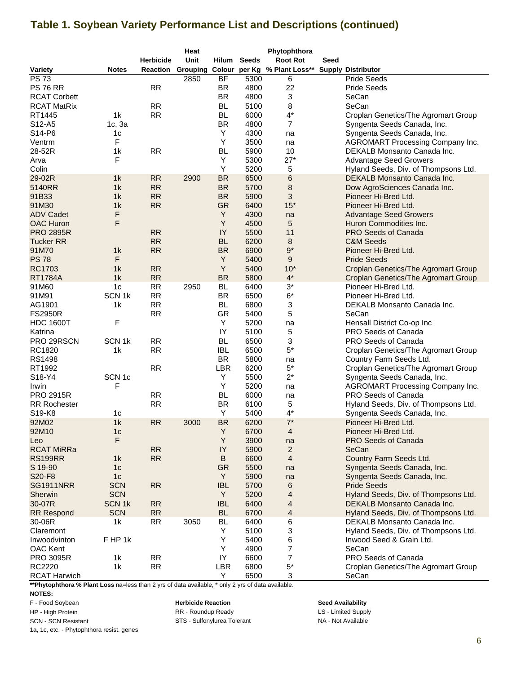# **Table 1. Soybean Variety Performance List and Descriptions (continued)**

|                     |                   |                  | Heat |              |              | Phytophthora                                   |      |                                            |
|---------------------|-------------------|------------------|------|--------------|--------------|------------------------------------------------|------|--------------------------------------------|
|                     |                   | <b>Herbicide</b> | Unit | <b>Hilum</b> | <b>Seeds</b> | <b>Root Rot</b>                                | Seed |                                            |
| <b>Variety</b>      | <b>Notes</b>      |                  |      |              |              | Reaction Grouping Colour per Kg % Plant Loss** |      | <b>Supply Distributor</b>                  |
| <b>PS73</b>         |                   |                  | 2850 | BF           | 5300         | 6                                              |      | <b>Pride Seeds</b>                         |
| <b>PS 76 RR</b>     |                   | <b>RR</b>        |      | <b>BR</b>    | 4800         | 22                                             |      | <b>Pride Seeds</b>                         |
| <b>RCAT Corbett</b> |                   |                  |      | <b>BR</b>    | 4800         | 3                                              |      | SeCan                                      |
| <b>RCAT MatRix</b>  |                   | RR               |      | <b>BL</b>    | 5100         | 8                                              |      | SeCan                                      |
| RT1445              | 1k                | <b>RR</b>        |      | <b>BL</b>    | 6000         | $4^*$                                          |      | Croplan Genetics/The Agromart Group        |
| S12-A5              | 1c, 3a            |                  |      | <b>BR</b>    | 4800         | $\overline{7}$                                 |      | Syngenta Seeds Canada, Inc.                |
| S14-P6              | 1 <sub>c</sub>    |                  |      | Y            | 4300         | na                                             |      | Syngenta Seeds Canada, Inc.                |
| Ventrm              | F                 |                  |      | Y            | 3500         | na                                             |      | <b>AGROMART Processing Company Inc.</b>    |
| 28-52R              | 1k                | RR               |      | <b>BL</b>    | 5900         | 10                                             |      | DEKALB Monsanto Canada Inc.                |
| Arva                | F                 |                  |      | Υ            | 5300         | $27*$                                          |      |                                            |
|                     |                   |                  |      | Y            |              |                                                |      | <b>Advantage Seed Growers</b>              |
| Colin               |                   |                  |      |              | 5200         | 5                                              |      | Hyland Seeds, Div. of Thompsons Ltd.       |
| 29-02R              | 1k                | <b>RR</b>        | 2900 | <b>BR</b>    | 6500         | $6\phantom{1}6$                                |      | DEKALB Monsanto Canada Inc.                |
| 5140RR              | 1k                | <b>RR</b>        |      | <b>BR</b>    | 5700         | 8                                              |      | Dow AgroSciences Canada Inc.               |
| 91B33               | 1k                | <b>RR</b>        |      | <b>BR</b>    | 5900         | 3                                              |      | Pioneer Hi-Bred Ltd.                       |
| 91M30               | 1k                | <b>RR</b>        |      | <b>GR</b>    | 6400         | $15*$                                          |      | Pioneer Hi-Bred Ltd.                       |
| <b>ADV Cadet</b>    | F                 |                  |      | Y            | 4300         | na                                             |      | <b>Advantage Seed Growers</b>              |
| <b>OAC Huron</b>    | F                 |                  |      | Y            | 4500         | 5                                              |      | Huron Commodities Inc.                     |
| <b>PRO 2895R</b>    |                   | <b>RR</b>        |      | IY           | 5500         | 11                                             |      | <b>PRO Seeds of Canada</b>                 |
| <b>Tucker RR</b>    |                   | <b>RR</b>        |      | <b>BL</b>    | 6200         | 8                                              |      | <b>C&amp;M Seeds</b>                       |
| 91M70               | 1k                | <b>RR</b>        |      | <b>BR</b>    | 6900         | $9*$                                           |      | Pioneer Hi-Bred Ltd.                       |
| <b>PS78</b>         | F                 |                  |      | Y            | 5400         | 9                                              |      | <b>Pride Seeds</b>                         |
| <b>RC1703</b>       | 1k                | <b>RR</b>        |      | Y            | 5400         | $10*$                                          |      | <b>Croplan Genetics/The Agromart Group</b> |
| <b>RT1784A</b>      | 1k                | <b>RR</b>        |      | <b>BR</b>    | 5800         | $4^*$                                          |      | Croplan Genetics/The Agromart Group        |
| 91M60               | 1 <sub>c</sub>    | <b>RR</b>        | 2950 | <b>BL</b>    | 6400         | $3^*$                                          |      | Pioneer Hi-Bred Ltd.                       |
| 91M91               | SCN <sub>1k</sub> | <b>RR</b>        |      | <b>BR</b>    | 6500         | $6*$                                           |      | Pioneer Hi-Bred Ltd.                       |
| AG1901              | 1k                | <b>RR</b>        |      | <b>BL</b>    | 6800         | 3                                              |      | DEKALB Monsanto Canada Inc.                |
| <b>FS2950R</b>      |                   | <b>RR</b>        |      | <b>GR</b>    | 5400         | 5                                              |      | SeCan                                      |
| <b>HDC 1600T</b>    | F                 |                  |      | Y            | 5200         | na                                             |      | Hensall District Co-op Inc                 |
| Katrina             |                   |                  |      | IY           | 5100         |                                                |      | PRO Seeds of Canada                        |
|                     |                   | <b>RR</b>        |      | <b>BL</b>    |              | 5                                              |      |                                            |
| PRO 29RSCN          | SCN <sub>1k</sub> |                  |      |              | 6500         | 3                                              |      | PRO Seeds of Canada                        |
| RC1820              | 1k                | <b>RR</b>        |      | IBL.         | 6500         | $5*$                                           |      | Croplan Genetics/The Agromart Group        |
| <b>RS1498</b>       |                   |                  |      | <b>BR</b>    | 5800         | na                                             |      | Country Farm Seeds Ltd.                    |
| RT1992              |                   | RR               |      | LBR          | 6200         | $5*$                                           |      | Croplan Genetics/The Agromart Group        |
| S18-Y4              | SCN <sub>1c</sub> |                  |      | Υ            | 5500         | $2^*$                                          |      | Syngenta Seeds Canada, Inc.                |
| Irwin               | F                 |                  |      | Υ            | 5200         | na                                             |      | <b>AGROMART Processing Company Inc.</b>    |
| <b>PRO 2915R</b>    |                   | <b>RR</b>        |      | <b>BL</b>    | 6000         | na                                             |      | PRO Seeds of Canada                        |
| <b>RR Rochester</b> |                   | <b>RR</b>        |      | <b>BR</b>    | 6100         | 5                                              |      | Hyland Seeds, Div. of Thompsons Ltd.       |
| S19-K8              | 1 <sub>c</sub>    |                  |      | Y            | 5400         | 4*                                             |      | Syngenta Seeds Canada, Inc.                |
| 92M02               | 1k                | <b>RR</b>        | 3000 | <b>BR</b>    | 6200         | $7^*$                                          |      | Pioneer Hi-Bred Ltd.                       |
| 92M10               | 1 <sub>c</sub>    |                  |      | Υ            | 6700         | 4                                              |      | Pioneer Hi-Bred Ltd.                       |
| Leo                 | F                 |                  |      | Y            | 3900         | na                                             |      | <b>PRO Seeds of Canada</b>                 |
| <b>RCAT MiRRa</b>   |                   | <b>RR</b>        |      | IY           | 5900         | $\overline{2}$                                 |      | SeCan                                      |
| <b>RS199RR</b>      | 1k                | RR               |      | B            | 6600         | $\overline{4}$                                 |      | Country Farm Seeds Ltd.                    |
| S 19-90             | 1 <sub>c</sub>    |                  |      | <b>GR</b>    | 5500         | na                                             |      | Syngenta Seeds Canada, Inc.                |
| S20-F8              | 1 <sub>c</sub>    |                  |      | Y            | 5900         | na                                             |      | Syngenta Seeds Canada, Inc.                |
| <b>SG1911NRR</b>    | <b>SCN</b>        | <b>RR</b>        |      | <b>IBL</b>   | 5700         | 6                                              |      | <b>Pride Seeds</b>                         |
| Sherwin             | <b>SCN</b>        |                  |      | Y            | 5200         | 4                                              |      | Hyland Seeds, Div. of Thompsons Ltd.       |
| 30-07R              | SCN <sub>1k</sub> | RR               |      | <b>IBL</b>   | 6400         | 4                                              |      | DEKALB Monsanto Canada Inc.                |
| <b>RR Respond</b>   | <b>SCN</b>        | <b>RR</b>        |      | <b>BL</b>    | 6700         | 4                                              |      | Hyland Seeds, Div. of Thompsons Ltd.       |
| 30-06R              | 1k                | <b>RR</b>        | 3050 | BL           | 6400         |                                                |      | DEKALB Monsanto Canada Inc.                |
| Claremont           |                   |                  |      | Y            |              | 6                                              |      |                                            |
|                     |                   |                  |      |              | 5100         | 3                                              |      | Hyland Seeds, Div. of Thompsons Ltd.       |
| Inwoodvinton        | FHP <sub>1k</sub> |                  |      | Y            | 5400         | 6                                              |      | Inwood Seed & Grain Ltd.                   |
| OAC Kent            |                   |                  |      | Y            | 4900         | 7                                              |      | SeCan                                      |
| <b>PRO 3095R</b>    | 1k                | RR               |      | IY           | 6600         | 7                                              |      | PRO Seeds of Canada                        |
| RC2220              | 1k                | <b>RR</b>        |      | LBR          | 6800         | $5*$                                           |      | Croplan Genetics/The Agromart Group        |
| <b>RCAT Harwich</b> |                   |                  |      | Y            | 6500         | 3                                              |      | SeCan                                      |

**\*\*Phytophthora % Plant Loss** na=less than 2 yrs of data available, \* only 2 yrs of data available.

**NOTES:**

F - Food Soybean

HP - High Protein

1a, 1c, etc. - Phytophthora resist. genes

SCN - SCN Resistant NA - Not Available STS - Sulfonylurea Tolerant**Herbicide Reaction Seed Availability** RR - Roundup Ready **Ready LS** - Limited Supply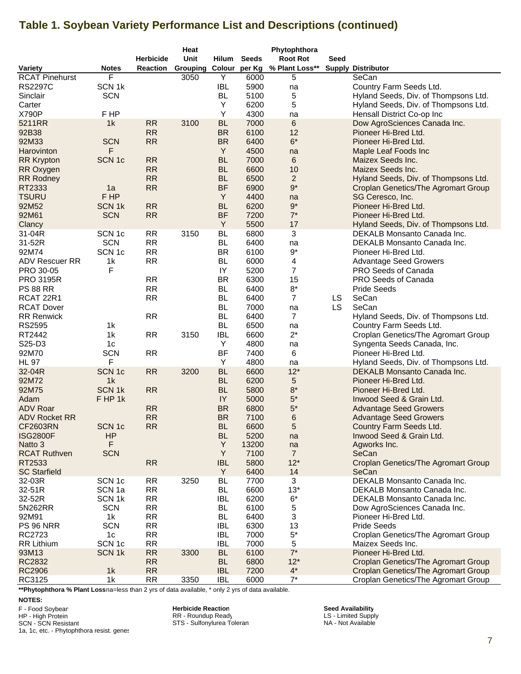# **Table 1. Soybean Variety Performance List and Descriptions (continued)**

|                       |                   |                  | Heat     |            |              | Phytophthora    |           |                                      |
|-----------------------|-------------------|------------------|----------|------------|--------------|-----------------|-----------|--------------------------------------|
|                       |                   | <b>Herbicide</b> | Unit     | Hilum      | <b>Seeds</b> | <b>Root Rot</b> | Seed      |                                      |
| Variety               | <b>Notes</b>      | <b>Reaction</b>  | Grouping | Colour     | per Kg       | % Plant Loss**  |           | <b>Supply Distributor</b>            |
| <b>RCAT Pinehurst</b> | F                 |                  | 3050     | Υ          | 6000         | 5               |           | SeCan                                |
| <b>RS2297C</b>        | SCN <sub>1k</sub> |                  |          | <b>IBL</b> | 5900         | na              |           | Country Farm Seeds Ltd.              |
| Sinclair              | <b>SCN</b>        |                  |          | <b>BL</b>  | 5100         | 5               |           | Hyland Seeds, Div. of Thompsons Ltd. |
| Carter                |                   |                  |          | Υ          | 6200         | 5               |           | Hyland Seeds, Div. of Thompsons Ltd. |
| X790P                 | F HP              |                  |          | Y          | 4300         | na              |           | Hensall District Co-op Inc           |
| 5211RR                | 1 <sub>k</sub>    | <b>RR</b>        | 3100     | <b>BL</b>  | 7000         | 6               |           | Dow AgroSciences Canada Inc.         |
| 92B38                 |                   | <b>RR</b>        |          | <b>BR</b>  | 6100         | 12              |           | Pioneer Hi-Bred Ltd.                 |
| 92M33                 | <b>SCN</b>        | <b>RR</b>        |          | <b>BR</b>  | 6400         | $6*$            |           | Pioneer Hi-Bred Ltd.                 |
| Harovinton            | F                 |                  |          | Y          |              |                 |           |                                      |
|                       |                   |                  |          |            | 4500         | na              |           | Maple Leaf Foods Inc                 |
| <b>RR Krypton</b>     | SCN <sub>1c</sub> | <b>RR</b>        |          | <b>BL</b>  | 7000         | 6               |           | Maizex Seeds Inc.                    |
| RR Oxygen             |                   | <b>RR</b>        |          | <b>BL</b>  | 6600         | 10              |           | Maizex Seeds Inc.                    |
| <b>RR Rodney</b>      |                   | <b>RR</b>        |          | <b>BL</b>  | 6500         | $\overline{2}$  |           | Hyland Seeds, Div. of Thompsons Ltd. |
| RT2333                | 1a                | <b>RR</b>        |          | <b>BF</b>  | 6900         | $9^*$           |           | Croplan Genetics/The Agromart Group  |
| <b>TSURU</b>          | F HP              |                  |          | Y          | 4400         | na              |           | SG Ceresco, Inc.                     |
| 92M52                 | SCN <sub>1k</sub> | <b>RR</b>        |          | <b>BL</b>  | 6200         | $9^*$           |           | Pioneer Hi-Bred Ltd.                 |
| 92M61                 | <b>SCN</b>        | RR               |          | <b>BF</b>  | 7200         | $7^*$           |           | Pioneer Hi-Bred Ltd.                 |
| Clancy                |                   |                  |          | Y          | 5500         | 17              |           | Hyland Seeds, Div. of Thompsons Ltd. |
| 31-04R                | SCN <sub>1c</sub> | RR               | 3150     | <b>BL</b>  | 6800         | 3               |           | DEKALB Monsanto Canada Inc.          |
| 31-52R                | <b>SCN</b>        | <b>RR</b>        |          | BL         | 6400         | na              |           | DEKALB Monsanto Canada Inc.          |
| 92M74                 | SCN <sub>1c</sub> | <b>RR</b>        |          | <b>BR</b>  | 6100         | $9^{\star}$     |           | Pioneer Hi-Bred Ltd.                 |
| <b>ADV Rescuer RR</b> | 1 <sub>k</sub>    | <b>RR</b>        |          | <b>BL</b>  | 6000         | 4               |           | <b>Advantage Seed Growers</b>        |
| PRO 30-05             | F                 |                  |          | IY         | 5200         | 7               |           | PRO Seeds of Canada                  |
| <b>PRO 3195R</b>      |                   | <b>RR</b>        |          | <b>BR</b>  | 6300         | 15              |           | PRO Seeds of Canada                  |
| <b>PS 88 RR</b>       |                   | <b>RR</b>        |          | <b>BL</b>  | 6400         | $8^{\star}$     |           | <b>Pride Seeds</b>                   |
| RCAT 22R1             |                   | <b>RR</b>        |          | <b>BL</b>  | 6400         | $\overline{7}$  | LS.       | SeCan                                |
| <b>RCAT Dover</b>     |                   |                  |          | <b>BL</b>  | 7000         | na              | <b>LS</b> | SeCan                                |
| <b>RR Renwick</b>     |                   | <b>RR</b>        |          | <b>BL</b>  | 6400         | $\overline{7}$  |           | Hyland Seeds, Div. of Thompsons Ltd. |
| RS2595                | 1 <sub>k</sub>    |                  |          | <b>BL</b>  | 6500         | na              |           | Country Farm Seeds Ltd.              |
| RT2442                | 1k                | <b>RR</b>        | 3150     | <b>IBL</b> | 6600         | $2^*$           |           | Croplan Genetics/The Agromart Group  |
| S25-D3                | 1 <sub>c</sub>    |                  |          | Υ          | 4800         | na              |           | Syngenta Seeds Canada, Inc.          |
| 92M70                 | <b>SCN</b>        | <b>RR</b>        |          | <b>BF</b>  | 7400         | 6               |           | Pioneer Hi-Bred Ltd.                 |
| <b>HL 97</b>          | F                 |                  |          | Υ          | 4800         | na              |           | Hyland Seeds, Div. of Thompsons Ltd. |
| 32-04R                | SCN <sub>1c</sub> | <b>RR</b>        | 3200     | <b>BL</b>  | 6600         | $12*$           |           | DEKALB Monsanto Canada Inc.          |
| 92M72                 | 1k                |                  |          | <b>BL</b>  | 6200         | 5               |           | Pioneer Hi-Bred Ltd.                 |
| 92M75                 | <b>SCN1k</b>      | <b>RR</b>        |          | <b>BL</b>  | 5800         | $8^{\star}$     |           | Pioneer Hi-Bred Ltd.                 |
| Adam                  | FHP <sub>1k</sub> |                  |          | IY         | 5000         | $5^{\star}$     |           | Inwood Seed & Grain Ltd.             |
| <b>ADV Roar</b>       |                   | <b>RR</b>        |          | <b>BR</b>  | 6800         | $5^\star$       |           | <b>Advantage Seed Growers</b>        |
| <b>ADV Rocket RR</b>  |                   | <b>RR</b>        |          | <b>BR</b>  | 7100         | 6               |           | <b>Advantage Seed Growers</b>        |
| CF2603RN              | SCN 1c            | <b>RR</b>        |          | <b>BL</b>  | 6600         | 5               |           | Country Farm Seeds Ltd.              |
| <b>ISG2800F</b>       | HP                |                  |          | <b>BL</b>  | 5200         | na              |           | Inwood Seed & Grain Ltd.             |
| Natto 3               | F.                |                  |          | Y          | 13200        | na              |           | Agworks Inc.                         |
| <b>RCAT Ruthven</b>   | <b>SCN</b>        |                  |          | Y          | 7100         | $\overline{7}$  |           | SeCan                                |
| RT2533                |                   | <b>RR</b>        |          | <b>IBL</b> | 5800         | $12*$           |           | Croplan Genetics/The Agromart Group  |
| <b>SC Starfield</b>   |                   |                  |          | Y          | 6400         | 14              |           | SeCan                                |
| 32-03R                | SCN <sub>1c</sub> | <b>RR</b>        | 3250     | <b>BL</b>  | 7700         | 3               |           | DEKALB Monsanto Canada Inc.          |
| 32-51R                | SCN <sub>1a</sub> | <b>RR</b>        |          | BL         | 6600         | $13*$           |           | DEKALB Monsanto Canada Inc.          |
| 32-52R                | SCN <sub>1k</sub> | <b>RR</b>        |          | <b>IBL</b> | 6200         | $6*$            |           | DEKALB Monsanto Canada Inc.          |
| 5N262RR               | <b>SCN</b>        | <b>RR</b>        |          | BL         | 6100         | 5               |           | Dow AgroSciences Canada Inc.         |
| 92M91                 | 1 <sub>k</sub>    | <b>RR</b>        |          | <b>BL</b>  | 6400         | 3               |           | Pioneer Hi-Bred Ltd.                 |
| <b>PS 96 NRR</b>      | <b>SCN</b>        | <b>RR</b>        |          | <b>IBL</b> | 6300         | 13              |           | <b>Pride Seeds</b>                   |
| RC2723                | 1c                | <b>RR</b>        |          | <b>IBL</b> | 7000         | $5*$            |           | Croplan Genetics/The Agromart Group  |
| <b>RR Lithium</b>     | SCN <sub>1c</sub> | <b>RR</b>        |          | <b>IBL</b> | 7000         | 5               |           | Maizex Seeds Inc.                    |
| 93M13                 | SCN <sub>1k</sub> | <b>RR</b>        | 3300     | <b>BL</b>  | 6100         | $7^*$           |           | Pioneer Hi-Bred Ltd.                 |
| RC2832                |                   | <b>RR</b>        |          | <b>BL</b>  | 6800         | $12*$           |           | Croplan Genetics/The Agromart Group  |
| <b>RC2906</b>         | 1k                | RR               |          | <b>IBL</b> | 7200         | $4^{\star}$     |           | Croplan Genetics/The Agromart Group  |
| RC3125                | 1 <sub>k</sub>    | <b>RR</b>        | 3350     | <b>IBL</b> | 6000         | $7^*$           |           | Croplan Genetics/The Agromart Group  |

\*\*Phytophthora % Plant Lossna=less than 2 yrs of data available, \* only 2 yrs of data available.

F - Food Soybean HP - High Protein SCN - SCN Resistant

1a, 1c, etc. - Phytophthora resist. genes

**Herbicide Reaction** RR - Roundup Ready STS - Sulfonylurea Toleran

**Seed Availability** LS - Limited Supply NA - Not Available

**NOTES:**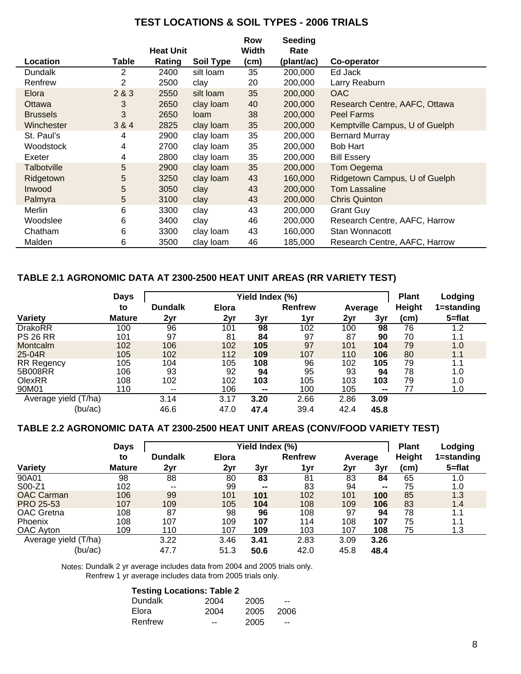## **TEST LOCATIONS & SOIL TYPES - 2006 TRIALS**

|                    |       |                  |                  | Row   | Seeding    |                                |
|--------------------|-------|------------------|------------------|-------|------------|--------------------------------|
|                    |       | <b>Heat Unit</b> |                  | Width | Rate       |                                |
| Location           | Table | Rating           | <b>Soil Type</b> | (cm)  | (plant/ac) | Co-operator                    |
| Dundalk            | 2     | 2400             | silt loam        | 35    | 200,000    | Ed Jack                        |
| Renfrew            | 2     | 2500             | clay             | 20    | 200,000    | Larry Reaburn                  |
| Elora              | 2&8&3 | 2550             | silt loam        | 35    | 200,000    | <b>OAC</b>                     |
| Ottawa             | 3     | 2650             | clay loam        | 40    | 200,000    | Research Centre, AAFC, Ottawa  |
| <b>Brussels</b>    | 3     | 2650             | loam             | 38    | 200,000    | <b>Peel Farms</b>              |
| Winchester         | 3 & 4 | 2825             | clay loam        | 35    | 200,000    | Kemptville Campus, U of Guelph |
| St. Paul's         | 4     | 2900             | clay loam        | 35    | 200,000    | <b>Bernard Murray</b>          |
| Woodstock          | 4     | 2700             | clay loam        | 35    | 200,000    | <b>Bob Hart</b>                |
| Exeter             | 4     | 2800             | clay loam        | 35    | 200,000    | <b>Bill Essery</b>             |
| <b>Talbotville</b> | 5     | 2900             | clay loam        | 35    | 200,000    | Tom Oegema                     |
| Ridgetown          | 5     | 3250             | clay loam        | 43    | 160,000    | Ridgetown Campus, U of Guelph  |
| Inwood             | 5     | 3050             | clay             | 43    | 200,000    | <b>Tom Lassaline</b>           |
| Palmyra            | 5     | 3100             | clay             | 43    | 200,000    | <b>Chris Quinton</b>           |
| Merlin             | 6     | 3300             | clay             | 43    | 200,000    | <b>Grant Guy</b>               |
| Woodslee           | 6     | 3400             | clay             | 46    | 200,000    | Research Centre, AAFC, Harrow  |
| Chatham            | 6     | 3300             | clay loam        | 43    | 160,000    | Stan Wonnacott                 |
| Malden             | 6     | 3500             | clay loam        | 46    | 185,000    | Research Centre, AAFC, Harrow  |

## **TABLE 2.1 AGRONOMIC DATA AT 2300-2500 HEAT UNIT AREAS (RR VARIETY TEST)**

|                      | <b>Days</b>   |                |              | <b>Plant</b>   | Lodging        |         |                 |               |            |
|----------------------|---------------|----------------|--------------|----------------|----------------|---------|-----------------|---------------|------------|
|                      | to            | <b>Dundalk</b> | <b>Elora</b> |                | <b>Renfrew</b> | Average |                 | <b>Height</b> | 1=standing |
| <b>Variety</b>       | <b>Mature</b> | 2yr            | 2yr          | 3yr            | 1yr            | 2yr     | 3yr             | (cm)          | $5 = flat$ |
| <b>DrakoRR</b>       | 100           | 96             | 101          | 98             | 102            | 100     | 98              | 76            | 1.2        |
| <b>PS 26 RR</b>      | 101           | 97             | 81           | 84             | 97             | 87      | 90              | 70            | 1.1        |
| <b>Montcalm</b>      | 102           | 106            | 102          | 105            | 97             | 101     | 104             | 79            | 1.0        |
| 25-04R               | 105           | 102            | 112          | 109            | 107            | 110     | 106             | 80            | 1.1        |
| <b>RR Regency</b>    | 105           | 104            | 105          | 108            | 96             | 102     | 105             | 79            | 1.1        |
| 5B008RR              | 106           | 93             | 92           | 94             | 95             | 93      | 94              | 78            | 1.0        |
| <b>OlexRR</b>        | 108           | 102            | 102          | 103            | 105            | 103     | 103             | 79            | 1.0        |
| 90M01                | 110           | $\sim$         | 106          | $\blacksquare$ | 100            | 105     | $\qquad \qquad$ | 77            | 1.0        |
| Average yield (T/ha) |               | 3.14           | 3.17         | 3.20           | 2.66           | 2.86    | 3.09            |               |            |
| (bu/ac)              |               | 46.6           | 47.0         | 47.4           | 39.4           | 42.4    | 45.8            |               |            |

## **TABLE 2.2 AGRONOMIC DATA AT 2300-2500 HEAT UNIT AREAS (CONV/FOOD VARIETY TEST)**

|                      | <b>Days</b>   |                | Yield Index (%) |                | <b>Plant</b>   | Lodging |                |                   |            |
|----------------------|---------------|----------------|-----------------|----------------|----------------|---------|----------------|-------------------|------------|
| to                   |               | <b>Dundalk</b> | <b>Elora</b>    |                | <b>Renfrew</b> | Average |                | <b>Height</b>     | 1=standing |
| Variety              | <b>Mature</b> | 2yr            | 2yr             | 3yr            | 1yr            | 2yr     | 3yr            | (c <sub>m</sub> ) | $5 = flat$ |
| 90A01                | 98            | 88             | 80              | 83             | 81             | 83      | 84             | 65                | 1.0        |
| S00-Z1               | 102           | $- -$          | 99              | $\blacksquare$ | 83             | 94      | $\blacksquare$ | 75                | 1.0        |
| <b>OAC Carman</b>    | 106           | 99             | 101             | 101            | 102            | 101     | 100            | 85                | 1.3        |
| <b>PRO 25-53</b>     | 107           | 109            | 105             | 104            | 108            | 109     | 106            | 83                | 1.4        |
| <b>OAC</b> Gretna    | 108           | 87             | 98              | 96             | 108            | 97      | 94             | 78                | 1.1        |
| <b>Phoenix</b>       | 108           | 107            | 109             | 107            | 114            | 108     | 107            | 75                | 1.1        |
| OAC Ayton            | 109           | 110            | 107             | 109            | 103            | 107     | 108            | 75                | 1.3        |
| Average yield (T/ha) |               | 3.22           | 3.46            | 3.41           | 2.83           | 3.09    | 3.26           |                   |            |
| (bu/ac)              |               | 47.7           | 51.3            | 50.6           | 42.0           | 45.8    | 48.4           |                   |            |

Notes: Dundalk 2 yr average includes data from 2004 and 2005 trials only. Renfrew 1 yr average includes data from 2005 trials only.

### 2004 2005 -- 2004 2005 2006 -- 2005 -- Elora Renfrew **Testing Locations: Table 2** Dundalk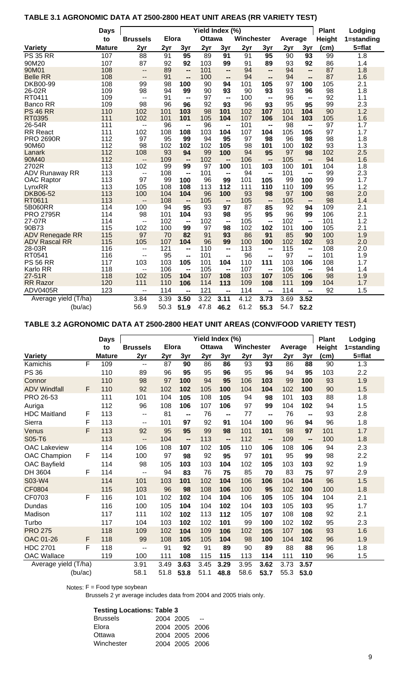### **Days Plant Lodging Yield Index (%)** to Brussels Elora Ottawa Winchester Average Height 1=standing **Variety Mature 2yr 2yr 3yr 2yr 3yr 2yr 3yr 2yr 3yr (cm) 5=flat** PS 35 RR 107 88 91 **95** 89 **91** 91 **95** 90 **93** 99 1.8 90M20 107 87 92 **92** 103 **99** 91 **89** 93 **92** 86 1.4 90M01 108 -- 89 **--** 101 **--** 94 **--** 94 **--** 87 1.8 Belle RR 108 -- 91 **--** 100 **--** 94 **--** 94 **--** 87 1.6 DKB00-99 108 99 98 **100** 90 **94** 101 **105** 97 **100** 105 2.1 26-02R 109 98 94 **99** 90 **93** 90 **93** 93 **96** 98 1.8 RT0411 109 -- 91 **--** 97 **--** 100 **--** 96 **--** 92 1.1 Banco RR 109 98 96 **96** 92 **93** 96 **93** 95 **95** 99 2.3 PS 46 RR 110 102 101 **103** 98 **101** 102 **107** 101 **104** 90 1.2 RT0395 111 102 101 **101** 105 **104** 107 **106** 104 **103** 105 1.6 26-54R 111 -- 96 **--** 96 **--** 101 **--** 98 **--** 97 1.7 RR React 111 102 108 **108** 103 **104** 107 **104** 105 **105** 97 1.7 PRO 2690R 112 97 95 **99** 94 **95** 97 **98** 96 **98** 98 1.8 90M60 112 98 102 **102** 102 **105** 98 **101** 100 **102** 93 1.3 Lanark 112 108 93 **94** 99 **100** 94 **95** 97 **98** 102 2.5 90M40 112 -- 109 **--** 102 **--** 106 **--** 105 **--** 94 1.6 2702R 113 102 99 **99** 97 **100** 101 **103** 100 **101** 104 1.8 ADV Runaway RR 113 -- 108 **--** 101 **--** 94 **--** 101 **--** 99 2.3 OAC Raptor 113 97 99 **100** 96 **99** 101 **105** 99 **100** 99 1.7 LynxRR 113 105 108 **108** 113 **112** 111 **110** 110 **109** 95 1.2 DKB06-52 113 100 104 **104** 96 **100** 93 **98** 97 **100** 98 2.0 RT0611 113 -- 108 **--** 105 **--** 105 **--** 105 **--** 98 1.4 5B060RR 114 100 94 **95** 93 **97** 87 **85** 92 **94** 109 2.1 PRO 2795R 114 98 101 **104** 93 **98** 95 **95** 96 **99** 106 2.1 27-07R 114 -- 102 **--** 102 **--** 105 **--** 102 **--** 101 1.2 90B73 115 102 100 **99** 97 **98** 102 **102** 101 **100** 105 2.1 ADV Renegade RR 115 97 70 **82** 91 **93** 86 **91** 85 **90** 100 1.9 ADV Rascal RR 115 105 107 **104** 96 **99** 100 **100** 102 **102** 93 2.0 28-03R 116 -- 121 **--** 110 **--** 113 **--** 115 **--** 108 2.0 RT0541 116 -- 95 **--** 101 **--** 96 **--** 97 **--** 101 1.9 PS 56 RR 117 103 103 **105** 101 **104** 110 **111** 103 **106** 108 1.7 Karlo RR 118 -- 106 **--** 105 **--** 107 **--** 106 **--** 94 1.4 27-51R 118 102 105 **104** 107 **108** 103 **107** 105 **106** 98 1.9 RR Razor 120 111 110 **106** 114 **113** 109 **108** 111 **109** 104 1.7 ADV0405R 123 -- 114 **--** 121 **--** 114 **--** 114 **--** 92 1.5 3.84 3.39 **3.50** 3.22 **3.11** 4.12 **3.73** 3.69 **3.52** 56.9 50.3 **51.9** 47.8 **46.2** 61.2 **55.3** 54.7 **52.2** Average yield (T/ha) (bu/ac) **Winchester**

## **TABLE 3.1 AGRONOMIC DATA AT 2500-2800 HEAT UNIT AREAS (RR VARIETY TEST)**

## **TABLE 3.2 AGRONOMIC DATA AT 2500-2800 HEAT UNIT AREAS (CONV/FOOD VARIETY TEST)**

|                      |   | <b>Days</b>   | Yield Index (%)          |              |      |               |      |            |      |         |                          |               | Lodging    |
|----------------------|---|---------------|--------------------------|--------------|------|---------------|------|------------|------|---------|--------------------------|---------------|------------|
|                      |   | to            | <b>Brussels</b>          | <b>Elora</b> |      | <b>Ottawa</b> |      | Winchester |      | Average |                          | <b>Height</b> | 1=standing |
| <b>Variety</b>       |   | <b>Mature</b> | 2yr                      | 2yr          | 3yr  | 2yr           | 3yr  | 2yr        | 3yr  | 2yr     | 3yr                      | (cm)          | $5 = flat$ |
| Kamichis             | F | 109           | $\overline{\phantom{a}}$ | 87           | 90   | 86            | 86   | 93         | 93   | 86      | 88                       | 90            | 1.3        |
| <b>PS 36</b>         |   | 110           | 89                       | 96           | 95   | 95            | 96   | 95         | 96   | 94      | 95                       | 103           | 2.2        |
| Connor               |   | 110           | 98                       | 97           | 100  | 94            | 95   | 106        | 103  | 99      | 100                      | 93            | 1.9        |
| <b>ADV Windfall</b>  | F | 110           | 92                       | 102          | 102  | 105           | 100  | 104        | 104  | 102     | 100                      | 90            | 1.5        |
| PRO 26-53            |   | 111           | 101                      | 104          | 105  | 108           | 105  | 94         | 98   | 101     | 103                      | 88            | 1.8        |
| Auriga               |   | 112           | 96                       | 108          | 106  | 107           | 106  | 97         | 99   | 104     | 102                      | 94            | 1.5        |
| <b>HDC Maitland</b>  | F | 113           | $\sim$ $\sim$            | 81           | --   | 76            | --   | 77         | --   | 76      | $\overline{\phantom{a}}$ | 93            | 2.8        |
| Sierra               | F | 113           | $\overline{\phantom{m}}$ | 101          | 97   | 92            | 91   | 104        | 100  | 96      | 94                       | 96            | 1.8        |
| Venus                | F | 113           | 92                       | 95           | 95   | 99            | 98   | 101        | 101  | 98      | 97                       | 101           | 1.7        |
| S05-T6               |   | 113           | $-$                      | 104          | --   | 113           | --   | 112        | --   | 109     | $\overline{\phantom{a}}$ | 100           | 1.8        |
| <b>OAC Lakeview</b>  |   | 114           | 106                      | 108          | 107  | 102           | 105  | 110        | 106  | 108     | 106                      | 94            | 2.3        |
| <b>OAC Champion</b>  | F | 114           | 100                      | 97           | 98   | 92            | 95   | 97         | 101  | 95      | 99                       | 98            | 2.2        |
| OAC Bayfield         |   | 114           | 98                       | 105          | 103  | 103           | 104  | 102        | 105  | 103     | 103                      | 92            | 1.9        |
| DH 3604              | F | 114           | --                       | 94           | 83   | 76            | 75   | 85         | 70   | 83      | 75                       | 97            | 2.9        |
| S03-W4               |   | 114           | 101                      | 103          | 101  | 102           | 104  | 106        | 106  | 104     | 104                      | 96            | 1.5        |
| CF0804               |   | 115           | 103                      | 96           | 98   | 108           | 106  | 100        | 95   | 102     | 100                      | 100           | 1.8        |
| CF0703               | F | 116           | 101                      | 102          | 102  | 104           | 104  | 106        | 105  | 105     | 104                      | 104           | 2.1        |
| Dundas               |   | 116           | 100                      | 105          | 104  | 104           | 102  | 104        | 103  | 105     | 103                      | 95            | 1.7        |
| Madison              |   | 117           | 111                      | 102          | 102  | 113           | 112  | 105        | 107  | 108     | 108                      | 92            | 2.1        |
| Turbo                |   | 117           | 104                      | 103          | 102  | 102           | 101  | 99         | 100  | 102     | 102                      | 95            | 2.3        |
| <b>PRO 275</b>       |   | 118           | 109                      | 102          | 104  | 109           | 106  | 102        | 105  | 107     | 106                      | 93            | 1.6        |
| <b>OAC 01-26</b>     | F | 118           | 99                       | 108          | 105  | 105           | 104  | 98         | 100  | 104     | 102                      | 96            | 1.9        |
| <b>HDC 2701</b>      | F | 118           | --                       | 91           | 92   | 91            | 89   | 90         | 89   | 88      | 88                       | 96            | 1.8        |
| <b>OAC Wallace</b>   |   | 119           | 100                      | 111          | 108  | 115           | 115  | 113        | 114  | 111     | 110                      | 96            | 1.5        |
| Average yield (T/ha) |   | 3.91          | 3.49                     | 3.63         | 3.45 | 3.29          | 3.95 | 3.62       | 3.73 | 3.57    |                          |               |            |
| (bu/ac)              |   |               | 58.1                     | 51.8         | 53.8 | 51.1          | 48.8 | 58.6       | 53.7 | 55.3    | 53.0                     |               |            |

Notes: F = Food type soybean

Brussels 2 yr average includes data from 2004 and 2005 trials only.

### **Testing Locations: Table 3**

| <b>Brussels</b> | 2004 2005      | $\sim$ $-$ |
|-----------------|----------------|------------|
| Elora           | 2004 2005 2006 |            |
| Ottawa          | 2004 2005 2006 |            |
| Winchester      | 2004 2005 2006 |            |
|                 |                |            |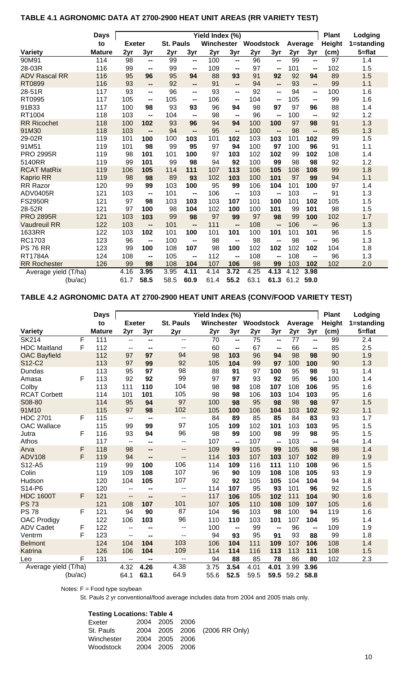## **TABLE 4.1 AGRONOMIC DATA AT 2700-2900 HEAT UNIT AREAS (RR VARIETY TEST)**

|                      | <b>Days</b>   | Yield Index (%) |                              |                  |                          |            |      |           |                          |         |                          | <b>Plant</b>    | Lodging    |
|----------------------|---------------|-----------------|------------------------------|------------------|--------------------------|------------|------|-----------|--------------------------|---------|--------------------------|-----------------|------------|
|                      | to            | <b>Exeter</b>   |                              | <b>St. Pauls</b> |                          | Winchester |      | Woodstock |                          | Average |                          | <b>Height</b>   | 1=standing |
| Variety              | <b>Mature</b> | 2yr             | 3yr                          | $2y_1$           | 3yr                      | 2yr        | 3yr  | 2yr       | 3yr                      | 2yr     | 3yr                      | (cm)            | $5 = flat$ |
| 90M91                | 114           | 98              | --                           | 99               | $\overline{\phantom{a}}$ | 100        | --   | 96        | --                       | 99      | --                       | $\overline{97}$ | 1.4        |
| 28-03R               | 116           | 99              | $\overline{\phantom{a}}$     | 99               | --                       | 109        | --   | 97        | $\overline{\phantom{a}}$ | 101     | --                       | 102             | 1.5        |
| <b>ADV Rascal RR</b> | 116           | 95              | 96                           | 95               | 94                       | 88         | 93   | 91        | 92                       | 92      | 94                       | 89              | 1.5        |
| RT0899               | 116           | 93              | $\overline{\phantom{a}}$     | 92               | --                       | 91         | --   | 94        | $\overline{\phantom{a}}$ | 93      | --                       | 99              | 1.1        |
| 28-51R               | 117           | 93              | $\blacksquare$               | 96               | --                       | 93         | --   | 92        | $\overline{\phantom{a}}$ | 94      | --                       | 100             | 1.6        |
| RT0995               | 117           | 105             | $\blacksquare$               | 105              | --                       | 106        | --   | 104       | $\mathbf{u}$             | 105     | --                       | 99              | 1.6        |
| 91B33                | 117           | 100             | 98                           | 93               | 93                       | 96         | 94   | 98        | 97                       | 97      | 96                       | 88              | 1.4        |
| RT1004               | 118           | 103             | $\overline{\phantom{a}}$     | 104              | $\mathbf{u}$             | 98         | --   | 96        | $\overline{\phantom{a}}$ | 100     | $\overline{\phantom{a}}$ | 92              | 1.2        |
| <b>RR Ricochet</b>   | 118           | 100             | 102                          | 93               | 96                       | 94         | 94   | 100       | 100                      | 97      | 98                       | 91              | 1.3        |
| 91M30                | 118           | 103             | --                           | 94               | $\overline{a}$           | 95         | --   | 100       | --                       | 98      | --                       | 85              | 1.3        |
| 29-02R               | 119           | 101             | 100                          | 100              | 103                      | 101        | 102  | 103       | 103                      | 101     | 102                      | 99              | 1.5        |
| 91M51                | 119           | 101             | 98                           | 99               | 95                       | 97         | 94   | 100       | 97                       | 100     | 96                       | 91              | 1.1        |
| <b>PRO 2995R</b>     | 119           | 98              | 101                          | 101              | 100                      | 97         | 103  | 102       | 102                      | 99      | 102                      | 108             | 1.4        |
| 5140RR               | 119           | 99              | 101                          | 99               | 98                       | 94         | 92   | 100       | 99                       | 98      | 98                       | 92              | 1.2        |
| <b>RCAT MatRix</b>   | 119           | 106             | 105                          | 114              | 111                      | 107        | 113  | 106       | 105                      | 108     | 108                      | 99              | 1.8        |
| <b>Kaprio RR</b>     | 119           | 98              | 98                           | 89               | 93                       | 102        | 103  | 100       | 101                      | 97      | 99                       | 94              | 1.1        |
| RR Razor             | 120           | 99              | 99                           | 103              | 100                      | 95         | 99   | 106       | 104                      | 101     | 100                      | 97              | 1.4        |
| <b>ADV0405R</b>      | 121           | 103             | $\qquad \qquad \blacksquare$ | 101              | --                       | 106        | --   | 103       | $\overline{\phantom{a}}$ | 103     | --                       | 91              | 1.3        |
| <b>FS2950R</b>       | 121           | 97              | 98                           | 103              | 103                      | 103        | 107  | 101       | 100                      | 101     | 102                      | 105             | 1.5        |
| 28-52R               | 121           | 97              | 100                          | 98               | 104                      | 102        | 100  | 100       | 101                      | 99      | 101                      | 98              | 1.5        |
| <b>PRO 2895R</b>     | 121           | 103             | 103                          | 99               | 98                       | 97         | 99   | 97        | 98                       | 99      | 100                      | 102             | 1.7        |
| <b>Vaudreuil RR</b>  | 122           | 103             | --                           | 101              | $\overline{a}$           | 111        | --   | 108       | --                       | 106     | $\overline{a}$           | 96              | 1.3        |
| 1633RR               | 122           | 103             | 102                          | 101              | 100                      | 101        | 101  | 100       | 101                      | 101     | 101                      | 96              | 1.5        |
| RC1703               | 123           | 96              | --                           | 100              | --                       | 98         | --   | 98        | --                       | 98      | --                       | 96              | 1.3        |
| <b>PS 76 RR</b>      | 123           | 99              | 100                          | 108              | 107                      | 98         | 100  | 102       | 102                      | 102     | 102                      | 104             | 1.8        |
| <b>RT1784A</b>       | 124           | 108             | $\overline{\phantom{a}}$     | 105              | $\overline{\phantom{a}}$ | 112        | --   | 108       | $\overline{\phantom{a}}$ | 108     | --                       | 96              | 1.3        |
| <b>RR</b> Rochester  | 126           | 99              | 98                           | 108              | 104                      | 107        | 106  | 98        | 99                       | 103     | 102                      | 102             | 2.0        |
| Average yield (T/ha) |               | 4.16            | 3.95                         | 3.95             | 4.11                     | 4.14       | 3.72 | 4.25      | 4.13                     | 4.12    | 3.98                     |                 |            |
| (bu/ac)              |               | 61.7            | 58.5                         | 58.5             | 60.9                     | 61.4       | 55.2 | 63.1      | 61.3                     | 61.2    | 59.0                     |                 |            |

## **TABLE 4.2 AGRONOMIC DATA AT 2700-2900 HEAT UNIT AREAS (CONV/FOOD VARIETY TEST)**

|                      |   | <b>Days</b>   | Yield Index (%)                               |                          |                          |            |                          |           |                          |         |      | <b>Plant</b>  | Lodging    |
|----------------------|---|---------------|-----------------------------------------------|--------------------------|--------------------------|------------|--------------------------|-----------|--------------------------|---------|------|---------------|------------|
|                      |   | to            | <b>Exeter</b>                                 |                          | <b>St. Pauls</b>         | Winchester |                          | Woodstock |                          | Average |      | <b>Height</b> | 1=standing |
| Variety              |   | <b>Mature</b> | 2yr                                           | 3yr                      | 2yr                      | 2yr        | $3y_1$                   | 2yr       | 3yr                      | 2yr     | 3yr  | (cm)          | $5 = flat$ |
| <b>SK214</b>         | F | 111           | $\overline{a}$                                | --                       | --                       | 70         | --                       | 75        | $\overline{\phantom{a}}$ | 77      | --   | 99            | 2.4        |
| <b>HDC Maitland</b>  | F | 112           | --                                            | $\blacksquare$           | $\overline{\phantom{a}}$ | 60         | --                       | 67        | $\overline{\phantom{a}}$ | 66      | --   | 85            | 2.5        |
| <b>OAC Bayfield</b>  |   | 112           | 97                                            | 97                       | 94                       | 98         | 103                      | 96        | 94                       | 98      | 98   | 90            | 1.9        |
| S12-C2               |   | 113           | 97                                            | 99                       | 92                       | 105        | 104                      | 99        | 97                       | 100     | 100  | 90            | 1.3        |
| Dundas               |   | 113           | 95                                            | 97                       | 98                       | 88         | 91                       | 97        | 100                      | 95      | 98   | 91            | 1.4        |
| Amasa                | F | 113           | 92                                            | 92                       | 99                       | 97         | 97                       | 93        | 92                       | 95      | 96   | 100           | 1.4        |
| Colby                |   | 113           | 111                                           | 110                      | 104                      | 98         | 98                       | 108       | 107                      | 108     | 106  | 95            | 1.6        |
| <b>RCAT Corbett</b>  |   | 114           | 101                                           | 101                      | 105                      | 98         | 98                       | 106       | 103                      | 104     | 103  | 95            | 1.6        |
| S08-80               |   | 114           | 95                                            | 94                       | 97                       | 100        | 98                       | 95        | 98                       | 98      | 98   | 97            | 1.5        |
| 91M10                |   | 115           | 97                                            | 98                       | 102                      | 105        | 100                      | 106       | 104                      | 103     | 102  | 92            | 1.1        |
| <b>HDC 2701</b>      | F | 115           | $\mathord{\hspace{1pt}\text{--}\hspace{1pt}}$ | $\overline{\phantom{a}}$ | $\overline{\phantom{m}}$ | 84         | 89                       | 85        | 85                       | 84      | 83   | 93            | 1.7        |
| <b>OAC Wallace</b>   |   | 115           | 99                                            | 99                       | 97                       | 105        | 109                      | 102       | 101                      | 103     | 103  | 95            | 1.5        |
| Jutra                | F | 116           | 93                                            | 94                       | 96                       | 98         | 99                       | 100       | 98                       | 99      | 98   | 95            | 1.5        |
| Athos                |   | 117           | $\overline{\phantom{a}}$                      | $\blacksquare$           | --                       | 107        | --                       | 107       | --                       | 103     | --   | 94            | 1.4        |
| Arva                 | F | 118           | 98                                            | --                       | $\overline{\phantom{a}}$ | 109        | 99                       | 105       | 99                       | 105     | 98   | 98            | 1.4        |
| <b>ADV108</b>        | F | 119           | 94                                            | --                       | $\overline{\phantom{a}}$ | 114        | 103                      | 107       | 103                      | 107     | 102  | 89            | 1.9        |
| S12-A5               |   | 119           | 99                                            | 100                      | 106                      | 114        | 109                      | 116       | 111                      | 110     | 108  | 96            | 1.5        |
| Colin                |   | 119           | 109                                           | 108                      | 107                      | 96         | 90                       | 109       | 108                      | 108     | 105  | 93            | 1.9        |
| Hudson               |   | 120           | 104                                           | 105                      | 107                      | 92         | 92                       | 105       | 105                      | 104     | 104  | 94            | 1.8        |
| S14-P6               |   | 120           | $\overline{\phantom{a}}$                      | --                       | --                       | 114        | 107                      | 95        | 93                       | 101     | 96   | 92            | 1.5        |
| <b>HDC 1600T</b>     | F | 121           | $\overline{a}$                                | --                       | $-$                      | 117        | 106                      | 105       | 102                      | 111     | 104  | 90            | 1.6        |
| <b>PS73</b>          |   | 121           | 108                                           | 107                      | 101                      | 107        | 105                      | 110       | 108                      | 109     | 107  | 105           | 1.6        |
| <b>PS78</b>          | F | 121           | 94                                            | 90                       | 87                       | 104        | 96                       | 103       | 98                       | 100     | 94   | 119           | 1.6        |
| <b>OAC Prodigy</b>   |   | 122           | 106                                           | 103                      | 96                       | 110        | 110                      | 103       | 101                      | 107     | 104  | 95            | 1.4        |
| <b>ADV Cadet</b>     | F | 122           | --                                            | --                       | $\sim$ –                 | 100        | $\overline{\phantom{a}}$ | 99        | --                       | 96      | --   | 109           | 1.9        |
| Ventrm               | F | 123           | $\overline{\phantom{a}}$                      | --                       | $\overline{\phantom{a}}$ | 94         | 93                       | 95        | 91                       | 93      | 88   | 99            | 1.8        |
| <b>Belmont</b>       |   | 124           | 104                                           | 104                      | 103                      | 106        | 104                      | 111       | 109                      | 107     | 106  | 108           | 1.4        |
| Katrina              |   | 126           | 106                                           | 104                      | 109                      | 114        | 114                      | 116       | 113                      | 113     | 111  | 108           | 1.5        |
| Leo                  | F | 131           | $\overline{\phantom{a}}$                      | --                       | $\overline{a}$           | 94         | 88                       | 85        | 78                       | 86      | 80   | 102           | 2.3        |
| Average yield (T/ha) |   |               | 4.32                                          | 4.26                     | 4.38                     | 3.75       | 3.54                     | 4.01      | 4.01                     | 3.99    | 3.96 |               |            |
| (bu/ac)              |   |               | 64.1                                          | 63.1                     | 64.9                     | 55.6       | 52.5                     | 59.5      | 59.5                     | 59.2    | 58.8 |               |            |

Notes: F = Food type soybean

St. Pauls 2 yr conventional/food average includes data from 2004 and 2005 trials only.

### **Testing Locations: Table 4**

| Exeter     | 2004 2005 2006 |                               |
|------------|----------------|-------------------------------|
| St. Pauls  |                | 2004 2005 2006 (2006 RR Only) |
| Winchester | 2004 2005 2006 |                               |
| Woodstock  | 2004 2005 2006 |                               |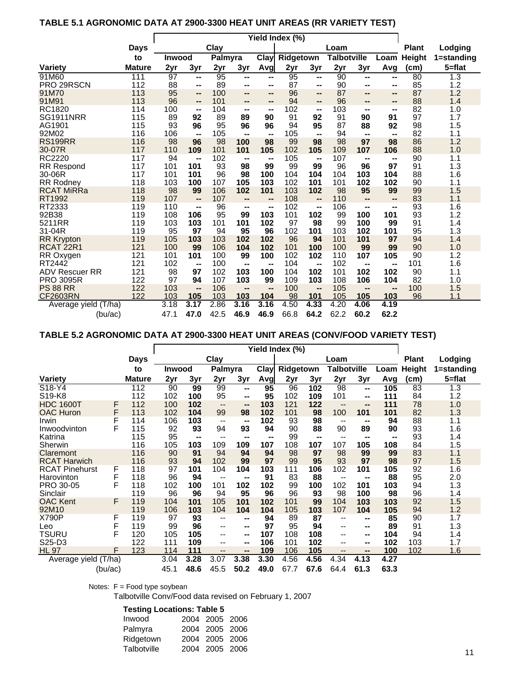## **TABLE 5.1 AGRONOMIC DATA AT 2900-3300 HEAT UNIT AREAS (RR VARIETY TEST)**

|                             |             | Yield Index (%) |                 |          |          |           |           |                          |                    |           |              |               |            |
|-----------------------------|-------------|-----------------|-----------------|----------|----------|-----------|-----------|--------------------------|--------------------|-----------|--------------|---------------|------------|
|                             | <b>Days</b> | Clay            |                 |          |          |           |           |                          | Loam               |           | <b>Plant</b> | Lodging       |            |
|                             | to          | <b>Inwood</b>   |                 | Palmyra  |          | Clay      | Ridgetown |                          | <b>Talbotville</b> |           | Loam         | <b>Height</b> | 1=standing |
| <b>Variety</b>              | Mature      | 2y <sub>r</sub> | 3y <sub>r</sub> | 2yr      | 3yr      | Avg       | 2yr       | 3yr                      | 2yr                | 3yr       | Avg          | (cm)          | $5 = flat$ |
| 91M60                       | 111         | 97              | --              | 95       | --       | --        | 95        | --                       | 90                 | --        | --           | 80            | 1.3        |
| PRO 29RSCN                  | 112         | 88              | --              | 89       | --       | --        | 87        | --                       | 90                 | --        | --           | 85            | 1.2        |
| 91M70                       | 113         | 95              | --              | 100      | --       | --        | 96        | --                       | 87                 | --        | --           | 87            | 1.2        |
| 91M91                       | 113         | 96              | --              | 101      | --       | --        | 94        | --                       | 96                 | --        | --           | 88            | 1.4        |
| RC1820                      | 114         | 100             | --              | 104      | --       | --        | 102       | --                       | 103                | --        | --           | 82            | 1.0        |
| <b>SG1911NRR</b>            | 115         | 89              | 92              | 89       | 89       | 90        | 91        | 92                       | 91                 | 90        | 91           | 97            | 1.7        |
| AG1901                      | 115         | 93              | 96              | 95       | 96       | 96        | 94        | 95                       | 87                 | 88        | 92           | 98            | 1.5        |
| 92M02                       | 116         | 106             | --              | 105      | --       | --        | 105       | $\overline{\phantom{a}}$ | 94                 | --        | --           | 82            | 1.1        |
| <b>RS199RR</b>              | 116         | 98              | 96              | 98       | 100      | 98        | 99        | 98                       | 98                 | 97        | 98           | 86            | 1.2        |
| 30-07R                      | 117         | 110             | 109             | 101      | 101      | 105       | 102       | 105                      | 109                | 107       | 106          | 88            | 1.0        |
| RC2220                      | 117         | 94              | --              | 102      | --       | --        | 105       | --                       | 107                | --        | --           | 90            | 1.1        |
| <b>RR Respond</b><br>30-06R | 117<br>117  | 101<br>101      | 101<br>101      | 93<br>96 | 98<br>98 | 99<br>100 | 99<br>104 | 99<br>104                | 96<br>104          | 96<br>103 | 97<br>104    | 91<br>88      | 1.3<br>1.6 |
| <b>RR Rodney</b>            | 118         | 103             | 100             | 107      | 105      | 103       | 102       | 101                      | 101                | 102       | 102          | 90            | 1.1        |
| <b>RCAT MiRRa</b>           | 118         | 98              | 99              | 106      | 102      | 101       | 103       | 102                      | 98                 | 95        | 99           | 99            | 1.5        |
| RT1992                      | 119         | 107             | --              | 107      | --       | --        | 108       | $\overline{a}$           | 110                | $-$       | --           | 83            | 1.1        |
| RT2333                      | 119         | 110             | --              | 96       | --       | --        | 102       | --                       | 106                | --        | --           | 93            | 1.6        |
| 92B38                       | 119         | 108             | 106             | 95       | 99       | 103       | 101       | 102                      | 99                 | 100       | 101          | 93            | 1.2        |
| 5211RR                      | 119         | 103             | 103             | 101      | 101      | 102       | 97        | 98                       | 99                 | 100       | 99           | 91            | 1.4        |
| 31-04R                      | 119         | 95              | 97              | 94       | 95       | 96        | 102       | 101                      | 103                | 102       | 101          | 95            | 1.3        |
| <b>RR Krypton</b>           | 119         | 105             | 103             | 103      | 102      | 102       | 96        | 94                       | 101                | 101       | 97           | 94            | 1.4        |
| RCAT <sub>22R1</sub>        | 121         | 100             | 99              | 106      | 104      | 102       | 101       | 100                      | 100                | 99        | 99           | 90            | 1.0        |
| RR Oxygen                   | 121         | 101             | 101             | 100      | 99       | 100       | 102       | 102                      | 110                | 107       | 105          | 90            | 1.2        |
| RT2442                      | 121         | 102             | --              | 100      | --       | --        | 104       | --                       | 102                | --        | --           | 101           | 1.6        |
| <b>ADV Rescuer RR</b>       | 121         | 98              | 97              | 102      | 103      | 100       | 104       | 102                      | 101                | 102       | 102          | 90            | 1.1        |
| <b>PRO 3095R</b>            | 122         | 97              | 94              | 107      | 103      | 99        | 109       | 103                      | 108                | 106       | 104          | 82            | 1.0        |
| <b>PS 88 RR</b>             | 122         | 103             | --              | 106      | --       | --        | 100       | --                       | 105                | --        | --           | 100           | 1.5        |
| <b>CF2603RN</b>             | 122         | 103             | 105             | 103      | 103      | 104       | 98        | 101                      | 105                | 105       | 103          | 96            | 1.1        |
| Average yield (T/ha)        |             | 3.18            | 3.17            | 2.86     | 3.16     | 3.16      | 4.50      | 4.33                     | 4.20               | 4.06      | 4.19         |               |            |
| (bu/ac)                     |             | 47.1            | 47.0            | 42.5     | 46.9     | 46.9      | 66.8      | 64.2                     | 62.2               | 60.2      | 62.2         |               |            |

## **TABLE 5.2 AGRONOMIC DATA AT 2900-3300 HEAT UNIT AREAS (CONV/FOOD VARIETY TEST)**

|                                 |         |             | Yield Index (%) |      |                          |      |      |           |      |                          |      |      |               |            |
|---------------------------------|---------|-------------|-----------------|------|--------------------------|------|------|-----------|------|--------------------------|------|------|---------------|------------|
|                                 |         | <b>Days</b> |                 |      | Clay                     |      |      |           |      | Loam                     |      |      | <b>Plant</b>  | Lodging    |
|                                 |         | to          | Inwood          |      | Palmyra                  |      | Clay | Ridgetown |      | <b>Talbotville</b>       |      | Loam | <b>Height</b> | 1=standing |
| Variety                         |         | Mature      | 2yr             | 3yr  | 2yr                      | 3yr  | Avg  | 2yr       | 3yr  | 2yr                      | 3yr  | Avg  | (cm)          | 5=flat     |
| S18-Y4                          |         | 112         | 90              | 99   | 99                       | --   | 95   | 96        | 102  | 98                       | --   | 105  | 83            | 1.3        |
| S <sub>19</sub> -K <sub>8</sub> |         | 112         | 102             | 100  | 95                       | --   | 95   | 102       | 109  | 101                      | --   | 111  | 84            | 1.2        |
| <b>HDC 1600T</b>                | F       | 112         | 100             | 102  | $\qquad \qquad -$        | --   | 103  | 121       | 122  | $-$                      | --   | 111  | 78            | 1.0        |
| <b>OAC Huron</b>                | F       | 113         | 102             | 104  | 99                       | 98   | 102  | 101       | 98   | 100                      | 101  | 101  | 82            | 1.3        |
| Irwin                           | F       | 114         | 106             | 103  | $-\,-$                   | --   | 102  | 93        | 98   | $\overline{\phantom{m}}$ | --   | 94   | 88            | 1.1        |
| Inwoodvinton                    | F       | 115         | 92              | 93   | 94                       | 93   | 94   | 90        | 88   | 90                       | 89   | 90   | 93            | 1.6        |
| Katrina                         |         | 115         | 95              | --   | --                       | --   | --   | 99        | --   | $\overline{\phantom{m}}$ | --   | --   | 93            | 1.4        |
| Sherwin                         |         | 116         | 105             | 103  | 109                      | 109  | 107  | 108       | 107  | 107                      | 105  | 108  | 84            | 1.5        |
| Claremont                       |         | 116         | 90              | 91   | 94                       | 94   | 94   | 98        | 97   | 98                       | 99   | 99   | 83            | 1.1        |
| <b>RCAT Harwich</b>             |         | 116         | 93              | 94   | 102                      | 99   | 97   | 99        | 95   | 93                       | 97   | 98   | 97            | 1.5        |
| <b>RCAT Pinehurst</b>           | F       | 118         | 97              | 101  | 104                      | 104  | 103  | 111       | 106  | 102                      | 101  | 105  | 92            | 1.6        |
| Harovinton                      | F       | 118         | 96              | 94   | $- -$                    | --   | 91   | 83        | 88   | $\overline{\phantom{a}}$ | --   | 88   | 95            | 2.0        |
| PRO 30-05                       | F       | 118         | 102             | 100  | 101                      | 102  | 102  | 99        | 100  | 102                      | 101  | 103  | 94            | 1.3        |
| Sinclair                        |         | 119         | 96              | 96   | 94                       | 95   | 96   | 96        | 93   | 98                       | 100  | 98   | 96            | 1.4        |
| <b>OAC Kent</b>                 | F       | 119         | 104             | 101  | 105                      | 101  | 102  | 101       | 99   | 104                      | 103  | 103  | 92            | 1.5        |
| 92M10                           |         | 119         | 106             | 103  | 104                      | 104  | 104  | 105       | 103  | 107                      | 104  | 105  | 94            | 1.2        |
| X790P                           | F       | 119         | 97              | 93   | --                       | --   | 94   | 89        | 87   | --                       | --   | 85   | 90            | 1.7        |
| Leo                             | F       | 119         | 99              | 96   | $\overline{\phantom{m}}$ | --   | 97   | 95        | 94   | --                       | --   | 89   | 91            | 1.3        |
| TSURU                           | F       | 120         | 105             | 105  | $\overline{\phantom{a}}$ | --   | 107  | 108       | 108  | --                       | --   | 104  | 94            | 1.4        |
| S25-D3                          |         | 122         | 111             | 109  | $\overline{\phantom{m}}$ | --   | 106  | 101       | 102  | --                       | --   | 102  | 103           | 1.7        |
| <b>HL 97</b>                    | F       | 123         | 114             | 111  | $\qquad \qquad -$        | --   | 109  | 106       | 105  | $\qquad \qquad -$        | --   | 100  | 102           | 1.6        |
| Average yield (T/ha)            |         |             | 3.04            | 3.28 | 3.07                     | 3.38 | 3.30 | 4.56      | 4.56 | 4.34                     | 4.13 | 4.27 |               |            |
|                                 | (bu/ac) |             | 45.1            | 48.6 | 45.5                     | 50.2 | 49.0 | 67.7      | 67.6 | 64.4                     | 61.3 | 63.3 |               |            |

Notes: F = Food type soybean

Talbotville Conv/Food data revised on February 1, 2007

### **Testing Locations: Table 5**

| Inwood      |  | 2004 2005 2006 |
|-------------|--|----------------|
| Palmyra     |  | 2004 2005 2006 |
| Ridgetown   |  | 2004 2005 2006 |
| Talbotville |  | 2004 2005 2006 |
|             |  |                |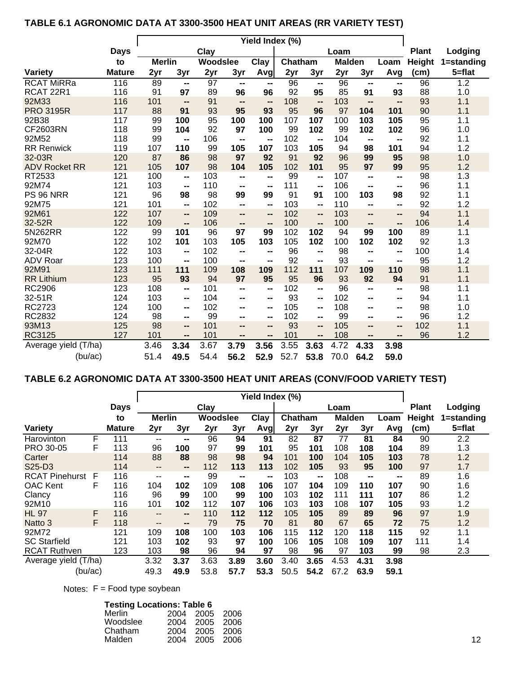## **TABLE 6.1 AGRONOMIC DATA AT 3300-3500 HEAT UNIT AREAS (RR VARIETY TEST)**

|                                    |               | Yield Index (%) |                              |                 |                              |                          |           |                          |               |                          |                              |           |            |
|------------------------------------|---------------|-----------------|------------------------------|-----------------|------------------------------|--------------------------|-----------|--------------------------|---------------|--------------------------|------------------------------|-----------|------------|
|                                    | <b>Days</b>   | Clay            |                              |                 |                              |                          |           |                          | Loam          | <b>Plant</b>             | Lodging                      |           |            |
|                                    | to            | <b>Merlin</b>   |                              | Woodslee        |                              | Clay                     | Chatham   |                          | <b>Malden</b> |                          | Loam                         | Height    | 1=standing |
| <b>Variety</b>                     | <b>Mature</b> | 2yr             | 3yr                          | 2yr             | 3yr                          | Avg                      | 2yr       | 3yr                      | 2yr           | 3yr                      | Avg                          | (cm)      | $5 = flat$ |
| <b>RCAT MiRRa</b>                  | 116           | 89              | --                           | $\overline{97}$ | $\overline{\phantom{a}}$     | --                       | 96        | $\overline{\phantom{a}}$ | 96            | $\overline{\phantom{a}}$ | --                           | 96        | 1.2        |
| RCAT <sub>22R1</sub>               | 116           | 91              | 97                           | 89              | 96                           | 96                       | 92        | 95                       | 85            | 91                       | 93                           | 88        | 1.0        |
| 92M33                              | 116           | 101             | --                           | 91              | $\overline{\phantom{a}}$     | $\overline{\phantom{a}}$ | 108       | --                       | 103           | $\overline{\phantom{a}}$ | $\qquad \qquad \blacksquare$ | 93        | 1.1        |
| <b>PRO 3195R</b>                   | 117           | 88              | 91                           | 93              | 95                           | 93                       | 95        | 96                       | 97            | 104                      | 101                          | 90        | 1.1        |
| 92B38                              | 117           | 99              | 100                          | 95              | 100                          | 100                      | 107       | 107                      | 100           | 103                      | 105                          | 95        | 1.1        |
| CF2603RN                           | 118           | 99              | 104                          | 92              | 97                           | 100                      | 99        | 102                      | 99            | 102                      | 102                          | 96        | 1.0        |
| 92M52                              | 118           | 99              | $\qquad \qquad \blacksquare$ | 106             | $\qquad \qquad$              | $\overline{\phantom{a}}$ | 102       | $\overline{\phantom{a}}$ | 104           | $\overline{\phantom{a}}$ | --                           | 92        | 1.1        |
| <b>RR Renwick</b>                  | 119           | 107             | 110                          | 99              | 105                          | 107                      | 103       | 105                      | 94            | 98                       | 101                          | 94        | 1.2        |
| 32-03R                             | 120           | 87              | 86                           | 98              | 97                           | 92                       | 91        | 92                       | 96            | 99                       | 95                           | 98        | 1.0        |
| <b>ADV Rocket RR</b>               | 121           | 105             | 107                          | 98              | 104                          | 105                      | 102       | 101                      | 95            | 97                       | 99                           | 95        | 1.2        |
| RT2533                             | 121           | 100             | $\blacksquare$               | 103             | --                           | $\sim$                   | 99        | $\blacksquare$           | 107           | $\blacksquare$           | $\blacksquare$               | 98        | 1.3        |
| 92M74                              | 121           | 103             | $\blacksquare$               | 110             | --                           | --                       | 111       | $\blacksquare$           | 106           | $\overline{\phantom{a}}$ | $\blacksquare$               | 96        | 1.1        |
| PS 96 NRR                          | 121           | 96              | 98                           | 98              | 99                           | 99                       | 91        | 91                       | 100           | 103                      | 98                           | 92        | 1.1        |
| 92M75                              | 121           | 101             | $\blacksquare$               | 102             | --                           | $\overline{\phantom{a}}$ | 103       | --                       | 110           | $-$                      | --                           | 92        | 1.2        |
| 92M61                              | 122           | 107             | $\overline{\phantom{a}}$     | 109             | $-$                          | --                       | 102       | $\overline{\phantom{a}}$ | 103           | $\overline{\phantom{a}}$ | $\overline{\phantom{a}}$     | 94        | 1.1        |
| 32-52R                             | 122           | 109             | --                           | 106             | $\qquad \qquad \blacksquare$ | --                       | 100       | --                       | 100           | $-$                      | --                           | 106       | 1.4        |
| 5N262RR                            | 122           | 99              | 101                          | 96              | 97                           | 99                       | 102       | 102                      | 94            | 99                       | 100                          | 89        | 1.1        |
| 92M70                              | 122           | 102             | 101                          | 103             | 105                          | 103                      | 105       | 102                      | 100           | 102                      | 102                          | 92        | 1.3        |
| 32-04R                             | 122           | 103             | $\blacksquare$               | 102             | $\qquad \qquad \blacksquare$ | $\overline{\phantom{a}}$ | 96        | $\blacksquare$           | 98            | $\mathbf{m}$             | $\blacksquare$               | 100       | 1.4        |
| <b>ADV Roar</b>                    | 123           | 100             | $\blacksquare$               | 100             | --                           | $\overline{\phantom{a}}$ | 92        | --                       | 93            | $-$                      | --                           | 95        | 1.2        |
| 92M91                              | 123<br>123    | 111<br>95       | 111<br>93                    | 109<br>94       | 108<br>97                    | 109<br>95                | 112<br>95 | 111<br>96                | 107<br>93     | 109<br>92                | 110<br>94                    | 98<br>91  | 1.1<br>1.1 |
| <b>RR Lithium</b><br><b>RC2906</b> | 123           | 108             |                              | 101             |                              |                          | 102       |                          | 96            |                          |                              | 98        | 1.1        |
| 32-51R                             | 124           | 103             | $\blacksquare$               | 104             | $\overline{\phantom{a}}$     | --                       | 93        | $\blacksquare$           | 102           | $\overline{\phantom{a}}$ | $\blacksquare$               | 94        | 1.1        |
| RC2723                             | 124           | 100             | $\blacksquare$               | 102             | --                           | $\overline{\phantom{a}}$ | 105       | $\blacksquare$           | 108           | $\blacksquare$           | $\blacksquare$               | 98        |            |
| RC2832                             | 124           |                 | $\blacksquare$               |                 | --                           | $\overline{\phantom{a}}$ |           | $\blacksquare$           | 99            | $\blacksquare$           | $\blacksquare$               |           | 1.0<br>1.2 |
| 93M13                              | 125           | 98              | $\blacksquare$               | 99<br>101       | --                           | $\overline{\phantom{a}}$ | 102<br>93 | $\blacksquare$           | 105           | --                       | $\blacksquare$               | 96<br>102 |            |
| RC3125                             | 127           | 98<br>101       | $\qquad \qquad \blacksquare$ | 101             | $-$                          | --                       | 101       | $\overline{\phantom{a}}$ | 108           | $-$                      | $\qquad \qquad \blacksquare$ | 96        | 1.1<br>1.2 |
|                                    |               |                 | $\qquad \qquad \blacksquare$ |                 | $-$                          | --                       |           | $\blacksquare$           | 4.72          | $\overline{\phantom{a}}$ | $\qquad \qquad \blacksquare$ |           |            |
| Average yield (T/ha)               |               | 3.46            | 3.34                         | 3.67            | 3.79                         | 3.56                     | 3.55      | 3.63                     |               | 4.33                     | 3.98                         |           |            |
| (bu/ac)                            |               | 51.4            | 49.5                         | 54.4            | 56.2                         | 52.9                     | 52.7      | 53.8                     | 70.0          | 64.2                     | 59.0                         |           |            |

## **TABLE 6.2 AGRONOMIC DATA AT 3300-3500 HEAT UNIT AREAS (CONV/FOOD VARIETY TEST)**

|                       |   |               | Yield Index (%)        |      |          |                              |      |         |                |               |      |                |               |            |
|-----------------------|---|---------------|------------------------|------|----------|------------------------------|------|---------|----------------|---------------|------|----------------|---------------|------------|
|                       |   | <b>Days</b>   |                        |      | Clay     |                              |      |         |                | Loam          |      |                | <b>Plant</b>  | Lodging    |
|                       |   | to            | <b>Merlin</b>          |      | Woodslee |                              | Clay | Chatham |                | <b>Malden</b> |      | Loam           | <b>Height</b> | 1=standing |
| <b>Variety</b>        |   | <b>Mature</b> | 2yr                    | 3yr  | 2yr      | 3yr                          | Avg  | 2yr     | 3yr            | 2yr           | 3yr  | Avg            | (cm)          | $5 = flat$ |
| Harovinton            | F | 111           | $- -$                  | --   | 96       | 94                           | 91   | 82      | 87             | 77            | 81   | 84             | 90            | 2.2        |
| PRO 30-05             | F | 113           | 96                     | 100  | 97       | 99                           | 101  | 95      | 101            | 108           | 108  | 104            | 89            | 1.3        |
| Carter                |   | 114           | 88                     | 88   | 98       | 98                           | 94   | 101     | 100            | 104           | 105  | 103            | 78            | 1.2        |
| S25-D3                |   | 114           | $\qquad \qquad \cdots$ | --   | 112      | 113                          | 113  | 102     | 105            | 93            | 95   | 100            | 97            | 1.7        |
| <b>RCAT Pinehurst</b> | F | 116           | $- -$                  | --   | 99       | $\qquad \qquad \blacksquare$ | --   | 103     | $\blacksquare$ | 108           | --   | $\blacksquare$ | 89            | 1.6        |
| <b>OAC Kent</b>       | F | 116           | 104                    | 102  | 109      | 108                          | 106  | 107     | 104            | 109           | 110  | 107            | 90            | 1.6        |
| Clancy                |   | 116           | 96                     | 99   | 100      | 99                           | 100  | 103     | 102            | 111           | 111  | 107            | 86            | 1.2        |
| 92M10                 |   | 116           | 101                    | 102  | 112      | 107                          | 106  | 103     | 103            | 108           | 107  | 105            | 93            | 1.2        |
| <b>HL 97</b>          | F | 116           | $- -$                  | --   | 110      | 112                          | 112  | 105     | 105            | 89            | 89   | 96             | 97            | 1.9        |
| Natto 3               | F | 118           | $- -$                  | --   | 79       | 75                           | 70   | 81      | 80             | 67            | 65   | 72             | 75            | 1.2        |
| 92M72                 |   | 121           | 109                    | 108  | 100      | 103                          | 106  | 115     | 112            | 120           | 118  | 115            | 92            | 1.1        |
| <b>SC Starfield</b>   |   | 121           | 103                    | 102  | 93       | 97                           | 100  | 106     | 105            | 108           | 109  | 107            | 111           | 1.4        |
| <b>RCAT Ruthven</b>   |   | 123           | 103                    | 98   | 96       | 94                           | 97   | 98      | 96             | 97            | 103  | 99             | 98            | 2.3        |
| Average yield (T/ha)  |   |               | 3.32                   | 3.37 | 3.63     | 3.89                         | 3.60 | 3.40    | 3.65           | 4.53          | 4.31 | 3.98           |               |            |
| (bu/ac)               |   |               | 49.3                   | 49.9 | 53.8     | 57.7                         | 53.3 | 50.5    | 54.2           | 67.2          | 63.9 | 59.1           |               |            |

Notes: F = Food type soybean

| <b>Testing Locations: Table 6</b><br>Merlin<br>Woodslee | 2004<br>2004 | -2005<br>- 2005 | 2006<br>- 2006 |
|---------------------------------------------------------|--------------|-----------------|----------------|
| Chatham                                                 | 2004         | 2005            | - 2006         |
| Malden                                                  | 2004         | 2005            | -2006          |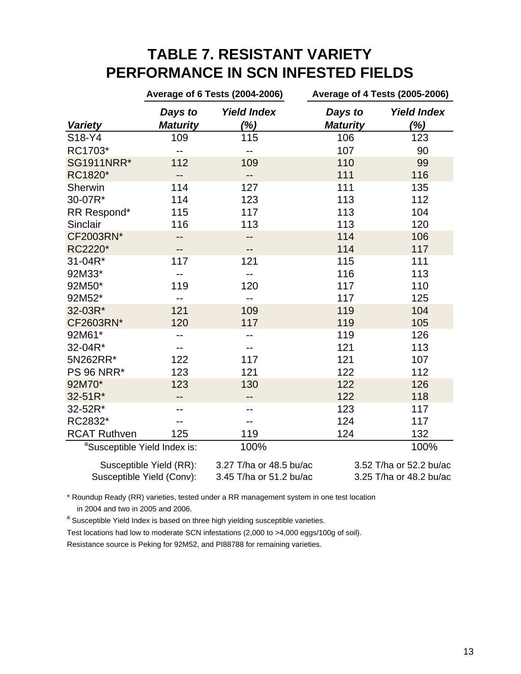# **TABLE 7. RESISTANT VARIETY PERFORMANCE IN SCN INFESTED FIELDS**

|                                          |                                                      | Average of 6 Tests (2004-2006)                     | <b>Average of 4 Tests (2005-2006)</b> |                                                    |  |  |  |
|------------------------------------------|------------------------------------------------------|----------------------------------------------------|---------------------------------------|----------------------------------------------------|--|--|--|
| <b>Variety</b>                           | Days to<br><b>Maturity</b>                           | <b>Yield Index</b><br>(%)                          | Days to<br><b>Maturity</b>            | <b>Yield Index</b><br>(%)                          |  |  |  |
| S18-Y4                                   | 109                                                  | 115                                                | 106                                   | 123                                                |  |  |  |
| RC1703*                                  | $-$                                                  | --                                                 | 107                                   | 90                                                 |  |  |  |
| <b>SG1911NRR*</b>                        | 112                                                  | 109                                                | 110                                   | 99                                                 |  |  |  |
| RC1820*                                  |                                                      | --                                                 | 111                                   | 116                                                |  |  |  |
| Sherwin                                  | 114                                                  | 127                                                | 111                                   | 135                                                |  |  |  |
| 30-07R*                                  | 114                                                  | 123                                                | 113                                   | 112                                                |  |  |  |
| RR Respond*                              | 115                                                  | 117                                                | 113                                   | 104                                                |  |  |  |
| Sinclair                                 | 116                                                  | 113                                                | 113                                   | 120                                                |  |  |  |
| CF2003RN*                                |                                                      | --                                                 | 114                                   | 106                                                |  |  |  |
| RC2220*                                  |                                                      | --                                                 | 114                                   | 117                                                |  |  |  |
| 31-04R*                                  | 117                                                  | 121                                                | 115                                   | 111                                                |  |  |  |
| 92M33*                                   |                                                      |                                                    | 116                                   | 113                                                |  |  |  |
| 92M50*                                   | 119                                                  | 120                                                | 117                                   | 110                                                |  |  |  |
| 92M52*                                   |                                                      | --                                                 | 117                                   | 125                                                |  |  |  |
| 32-03R*                                  | 121                                                  | 109                                                | 119                                   | 104                                                |  |  |  |
| CF2603RN*                                | 120                                                  | 117                                                | 119                                   | 105                                                |  |  |  |
| 92M61*                                   |                                                      |                                                    | 119                                   | 126                                                |  |  |  |
| 32-04R*                                  |                                                      |                                                    | 121                                   | 113                                                |  |  |  |
| 5N262RR*                                 | 122                                                  | 117                                                | 121                                   | 107                                                |  |  |  |
| <b>PS 96 NRR*</b>                        | 123                                                  | 121                                                | 122                                   | 112                                                |  |  |  |
| 92M70*                                   | 123                                                  | 130                                                | 122                                   | 126                                                |  |  |  |
| 32-51R*                                  |                                                      | --                                                 | 122                                   | 118                                                |  |  |  |
| 32-52R*                                  |                                                      | --                                                 | 123                                   | 117                                                |  |  |  |
| RC2832*                                  |                                                      |                                                    | 124                                   | 117                                                |  |  |  |
| <b>RCAT Ruthven</b>                      | 125                                                  | 119                                                | 124                                   | 132                                                |  |  |  |
| <sup>a</sup> Susceptible Yield Index is: |                                                      | 100%                                               |                                       | 100%                                               |  |  |  |
|                                          | Susceptible Yield (RR):<br>Susceptible Yield (Conv): | 3.27 T/ha or 48.5 bu/ac<br>3.45 T/ha or 51.2 bu/ac |                                       | 3.52 T/ha or 52.2 bu/ac<br>3.25 T/ha or 48.2 bu/ac |  |  |  |

\* Roundup Ready (RR) varieties, tested under a RR management system in one test location in 2004 and two in 2005 and 2006.

<sup>a</sup> Susceptible Yield Index is based on three high yielding susceptible varieties.

Test locations had low to moderate SCN infestations (2,000 to >4,000 eggs/100g of soil). Resistance source is Peking for 92M52, and PI88788 for remaining varieties.